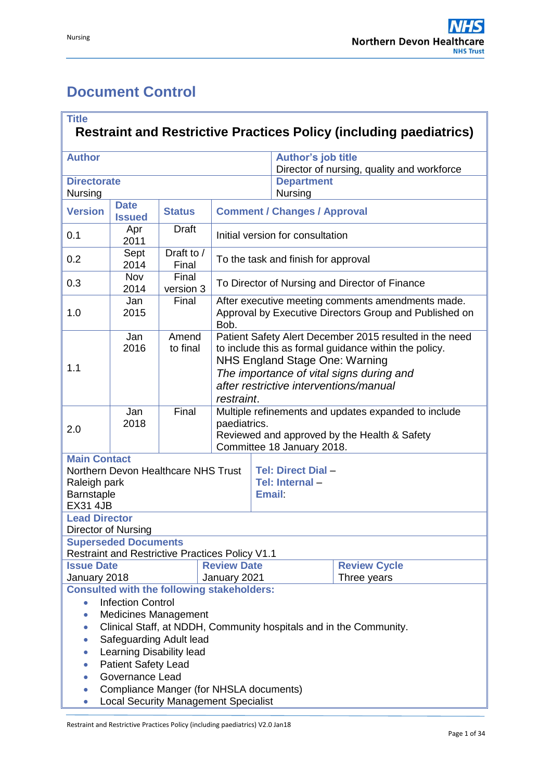# <span id="page-0-0"></span>**Document Control**

| <b>Title</b><br><b>Restraint and Restrictive Practices Policy (including paediatrics)</b>                                                                                                                                                                                                                                                                                                                                        |                              |                     |                                                                                                                                                                                                                                                        |                                                                                                             |                                                                         |                                    |  |
|----------------------------------------------------------------------------------------------------------------------------------------------------------------------------------------------------------------------------------------------------------------------------------------------------------------------------------------------------------------------------------------------------------------------------------|------------------------------|---------------------|--------------------------------------------------------------------------------------------------------------------------------------------------------------------------------------------------------------------------------------------------------|-------------------------------------------------------------------------------------------------------------|-------------------------------------------------------------------------|------------------------------------|--|
| <b>Author</b>                                                                                                                                                                                                                                                                                                                                                                                                                    |                              |                     |                                                                                                                                                                                                                                                        |                                                                                                             | <b>Author's job title</b><br>Director of nursing, quality and workforce |                                    |  |
| <b>Directorate</b><br>Nursing                                                                                                                                                                                                                                                                                                                                                                                                    |                              |                     |                                                                                                                                                                                                                                                        |                                                                                                             | <b>Department</b><br>Nursing                                            |                                    |  |
| <b>Version</b>                                                                                                                                                                                                                                                                                                                                                                                                                   | <b>Date</b><br><b>Issued</b> | <b>Status</b>       |                                                                                                                                                                                                                                                        |                                                                                                             | <b>Comment / Changes / Approval</b>                                     |                                    |  |
| 0.1                                                                                                                                                                                                                                                                                                                                                                                                                              | Apr<br>2011                  | <b>Draft</b>        |                                                                                                                                                                                                                                                        |                                                                                                             | Initial version for consultation                                        |                                    |  |
| 0.2                                                                                                                                                                                                                                                                                                                                                                                                                              | Sept<br>2014                 | Draft to /<br>Final |                                                                                                                                                                                                                                                        |                                                                                                             | To the task and finish for approval                                     |                                    |  |
| 0.3                                                                                                                                                                                                                                                                                                                                                                                                                              | Nov<br>2014                  | Final<br>version 3  |                                                                                                                                                                                                                                                        | To Director of Nursing and Director of Finance                                                              |                                                                         |                                    |  |
| 1.0                                                                                                                                                                                                                                                                                                                                                                                                                              | Jan<br>2015                  | Final               | Bob.                                                                                                                                                                                                                                                   | After executive meeting comments amendments made.<br>Approval by Executive Directors Group and Published on |                                                                         |                                    |  |
| 1.1                                                                                                                                                                                                                                                                                                                                                                                                                              | Jan<br>2016                  | Amend<br>to final   | Patient Safety Alert December 2015 resulted in the need<br>to include this as formal guidance within the policy.<br>NHS England Stage One: Warning<br>The importance of vital signs during and<br>after restrictive interventions/manual<br>restraint. |                                                                                                             |                                                                         |                                    |  |
| 2.0                                                                                                                                                                                                                                                                                                                                                                                                                              | Jan<br>2018                  | Final               | Multiple refinements and updates expanded to include<br>paediatrics.<br>Reviewed and approved by the Health & Safety<br>Committee 18 January 2018.                                                                                                     |                                                                                                             |                                                                         |                                    |  |
| <b>Main Contact</b><br>Northern Devon Healthcare NHS Trust<br>Tel: Direct Dial-<br>Tel: Internal-<br>Raleigh park<br>Barnstaple<br><b>Email</b><br><b>EX31 4JB</b>                                                                                                                                                                                                                                                               |                              |                     |                                                                                                                                                                                                                                                        |                                                                                                             |                                                                         |                                    |  |
| <b>Lead Director</b><br>Director of Nursing                                                                                                                                                                                                                                                                                                                                                                                      |                              |                     |                                                                                                                                                                                                                                                        |                                                                                                             |                                                                         |                                    |  |
| <b>Superseded Documents</b><br><b>Restraint and Restrictive Practices Policy V1.1</b>                                                                                                                                                                                                                                                                                                                                            |                              |                     |                                                                                                                                                                                                                                                        |                                                                                                             |                                                                         |                                    |  |
| <b>Issue Date</b><br><b>Review Date</b><br>January 2018<br>January 2021                                                                                                                                                                                                                                                                                                                                                          |                              |                     |                                                                                                                                                                                                                                                        |                                                                                                             |                                                                         | <b>Review Cycle</b><br>Three years |  |
| <b>Consulted with the following stakeholders:</b><br><b>Infection Control</b><br>$\bullet$<br><b>Medicines Management</b><br>Clinical Staff, at NDDH, Community hospitals and in the Community.<br>$\bullet$<br>Safeguarding Adult lead<br>$\bullet$<br>Learning Disability lead<br>$\bullet$<br><b>Patient Safety Lead</b><br>$\bullet$<br>Governance Lead<br>$\bullet$<br>Compliance Manger (for NHSLA documents)<br>$\bullet$ |                              |                     |                                                                                                                                                                                                                                                        |                                                                                                             |                                                                         |                                    |  |
| <b>Local Security Management Specialist</b><br>0                                                                                                                                                                                                                                                                                                                                                                                 |                              |                     |                                                                                                                                                                                                                                                        |                                                                                                             |                                                                         |                                    |  |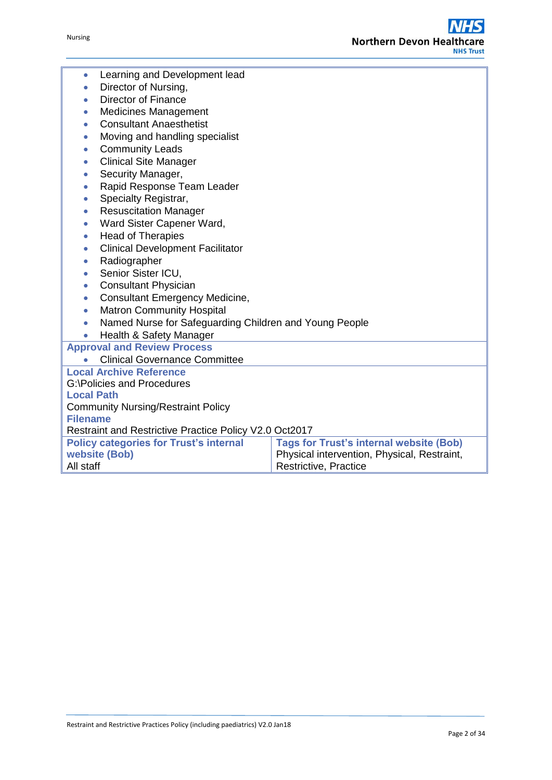| Learning and Development lead<br>$\bullet$                          |                                                                                                                                                |  |  |  |  |
|---------------------------------------------------------------------|------------------------------------------------------------------------------------------------------------------------------------------------|--|--|--|--|
| Director of Nursing,<br>$\bullet$                                   |                                                                                                                                                |  |  |  |  |
| <b>Director of Finance</b><br>$\bullet$                             |                                                                                                                                                |  |  |  |  |
| <b>Medicines Management</b><br>$\bullet$                            |                                                                                                                                                |  |  |  |  |
| <b>Consultant Anaesthetist</b><br>$\bullet$                         |                                                                                                                                                |  |  |  |  |
| Moving and handling specialist<br>$\bullet$                         |                                                                                                                                                |  |  |  |  |
| <b>Community Leads</b><br>$\bullet$                                 |                                                                                                                                                |  |  |  |  |
| <b>Clinical Site Manager</b><br>$\bullet$                           |                                                                                                                                                |  |  |  |  |
| Security Manager,<br>$\bullet$                                      |                                                                                                                                                |  |  |  |  |
| Rapid Response Team Leader<br>$\bullet$                             |                                                                                                                                                |  |  |  |  |
| Specialty Registrar,<br>$\bullet$                                   |                                                                                                                                                |  |  |  |  |
| <b>Resuscitation Manager</b><br>$\bullet$                           |                                                                                                                                                |  |  |  |  |
| Ward Sister Capener Ward,<br>$\bullet$                              |                                                                                                                                                |  |  |  |  |
| <b>Head of Therapies</b><br>$\bullet$                               |                                                                                                                                                |  |  |  |  |
| <b>Clinical Development Facilitator</b><br>$\bullet$                |                                                                                                                                                |  |  |  |  |
| Radiographer<br>$\bullet$                                           |                                                                                                                                                |  |  |  |  |
| Senior Sister ICU,<br>$\bullet$                                     |                                                                                                                                                |  |  |  |  |
| <b>Consultant Physician</b><br>$\bullet$                            |                                                                                                                                                |  |  |  |  |
| <b>Consultant Emergency Medicine,</b><br>$\bullet$                  |                                                                                                                                                |  |  |  |  |
| <b>Matron Community Hospital</b><br>$\bullet$                       |                                                                                                                                                |  |  |  |  |
| Named Nurse for Safeguarding Children and Young People<br>$\bullet$ |                                                                                                                                                |  |  |  |  |
| Health & Safety Manager<br>$\bullet$                                |                                                                                                                                                |  |  |  |  |
| <b>Approval and Review Process</b>                                  |                                                                                                                                                |  |  |  |  |
| <b>Clinical Governance Committee</b>                                |                                                                                                                                                |  |  |  |  |
| <b>Local Archive Reference</b>                                      |                                                                                                                                                |  |  |  |  |
| <b>G:\Policies and Procedures</b>                                   |                                                                                                                                                |  |  |  |  |
| <b>Local Path</b>                                                   |                                                                                                                                                |  |  |  |  |
| <b>Community Nursing/Restraint Policy</b>                           |                                                                                                                                                |  |  |  |  |
| <b>Filename</b>                                                     |                                                                                                                                                |  |  |  |  |
| Restraint and Restrictive Practice Policy V2.0 Oct2017              |                                                                                                                                                |  |  |  |  |
| website (Bob)                                                       | <b>Tags for Trust's internal website (Bob)</b><br><b>Policy categories for Trust's internal</b><br>Physical intervention, Physical, Restraint, |  |  |  |  |
| All staff<br>Restrictive, Practice                                  |                                                                                                                                                |  |  |  |  |
|                                                                     |                                                                                                                                                |  |  |  |  |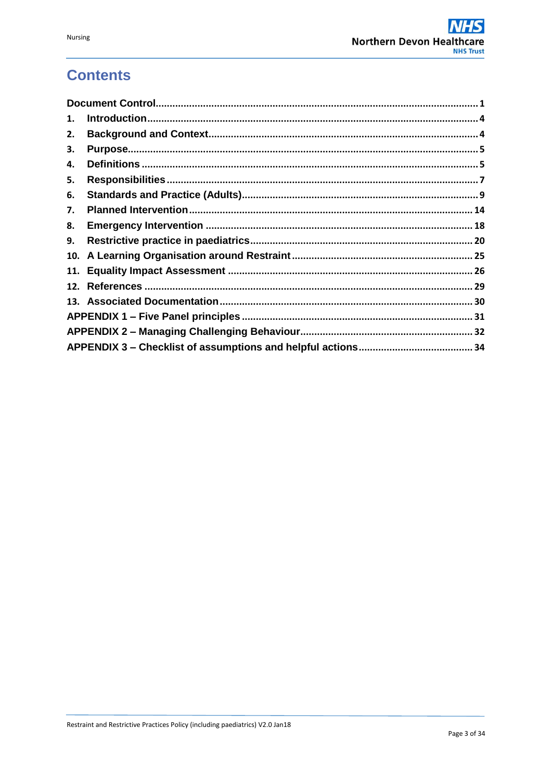# **Contents**

| 1. |  |  |  |
|----|--|--|--|
| 2. |  |  |  |
| з. |  |  |  |
| 4. |  |  |  |
| 5. |  |  |  |
| 6. |  |  |  |
| 7. |  |  |  |
| 8. |  |  |  |
| 9. |  |  |  |
|    |  |  |  |
|    |  |  |  |
|    |  |  |  |
|    |  |  |  |
|    |  |  |  |
|    |  |  |  |
|    |  |  |  |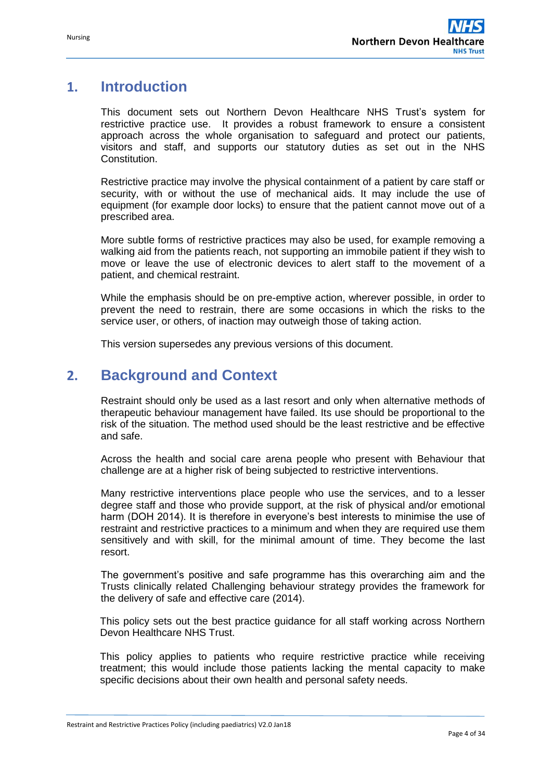# <span id="page-3-0"></span>**1. Introduction**

This document sets out Northern Devon Healthcare NHS Trust's system for restrictive practice use. It provides a robust framework to ensure a consistent approach across the whole organisation to safeguard and protect our patients, visitors and staff, and supports our statutory duties as set out in the NHS Constitution.

Restrictive practice may involve the physical containment of a patient by care staff or security, with or without the use of mechanical aids. It may include the use of equipment (for example door locks) to ensure that the patient cannot move out of a prescribed area.

More subtle forms of restrictive practices may also be used, for example removing a walking aid from the patients reach, not supporting an immobile patient if they wish to move or leave the use of electronic devices to alert staff to the movement of a patient, and chemical restraint.

While the emphasis should be on pre-emptive action, wherever possible, in order to prevent the need to restrain, there are some occasions in which the risks to the service user, or others, of inaction may outweigh those of taking action.

This version supersedes any previous versions of this document.

# <span id="page-3-1"></span>**2. Background and Context**

Restraint should only be used as a last resort and only when alternative methods of therapeutic behaviour management have failed. Its use should be proportional to the risk of the situation. The method used should be the least restrictive and be effective and safe.

Across the health and social care arena people who present with Behaviour that challenge are at a higher risk of being subjected to restrictive interventions.

Many restrictive interventions place people who use the services, and to a lesser degree staff and those who provide support, at the risk of physical and/or emotional harm (DOH 2014). It is therefore in everyone's best interests to minimise the use of restraint and restrictive practices to a minimum and when they are required use them sensitively and with skill, for the minimal amount of time. They become the last resort.

The government's positive and safe programme has this overarching aim and the Trusts clinically related Challenging behaviour strategy provides the framework for the delivery of safe and effective care (2014).

This policy sets out the best practice guidance for all staff working across Northern Devon Healthcare NHS Trust.

This policy applies to patients who require restrictive practice while receiving treatment; this would include those patients lacking the mental capacity to make specific decisions about their own health and personal safety needs.

Restraint and Restrictive Practices Policy (including paediatrics) V2.0 Jan18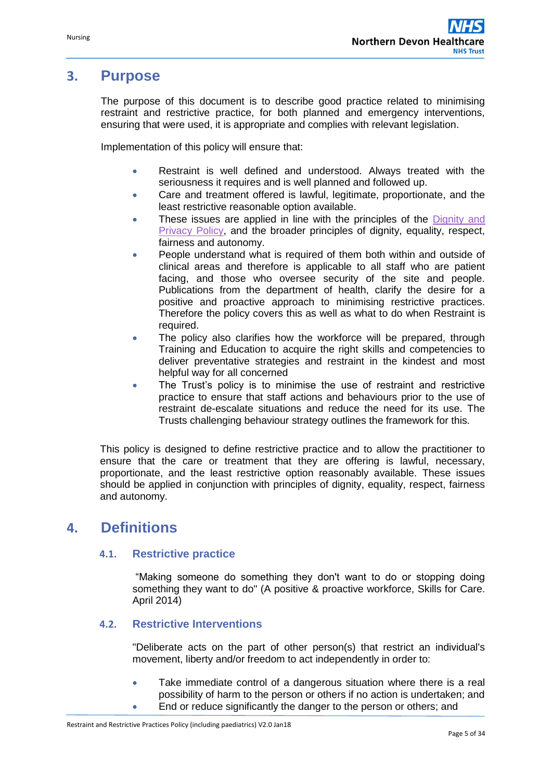# <span id="page-4-0"></span>**3. Purpose**

The purpose of this document is to describe good practice related to minimising restraint and restrictive practice, for both planned and emergency interventions, ensuring that were used, it is appropriate and complies with relevant legislation.

Implementation of this policy will ensure that:

- Restraint is well defined and understood. Always treated with the seriousness it requires and is well planned and followed up.
- Care and treatment offered is lawful, legitimate, proportionate, and the least restrictive reasonable option available.
- These issues are applied in line with the principles of the Dignity and [Privacy Policy,](http://ndht.ndevon.swest.nhs.uk/dignity-privacy-policy/) and the broader principles of dignity, equality, respect, fairness and autonomy.
- People understand what is required of them both within and outside of clinical areas and therefore is applicable to all staff who are patient facing, and those who oversee security of the site and people. Publications from the department of health, clarify the desire for a positive and proactive approach to minimising restrictive practices. Therefore the policy covers this as well as what to do when Restraint is required.
- The policy also clarifies how the workforce will be prepared, through Training and Education to acquire the right skills and competencies to deliver preventative strategies and restraint in the kindest and most helpful way for all concerned
- The Trust's policy is to minimise the use of restraint and restrictive practice to ensure that staff actions and behaviours prior to the use of restraint de-escalate situations and reduce the need for its use. The Trusts challenging behaviour strategy outlines the framework for this.

This policy is designed to define restrictive practice and to allow the practitioner to ensure that the care or treatment that they are offering is lawful, necessary, proportionate, and the least restrictive option reasonably available. These issues should be applied in conjunction with principles of dignity, equality, respect, fairness and autonomy.

# <span id="page-4-1"></span>**4. Definitions**

#### **4.1. Restrictive practice**

"Making someone do something they don't want to do or stopping doing something they want to do" (A positive & proactive workforce, Skills for Care. April 2014)

#### **4.2. Restrictive Interventions**

"Deliberate acts on the part of other person(s) that restrict an individual's movement, liberty and/or freedom to act independently in order to:

- Take immediate control of a dangerous situation where there is a real possibility of harm to the person or others if no action is undertaken; and
- End or reduce significantly the danger to the person or others; and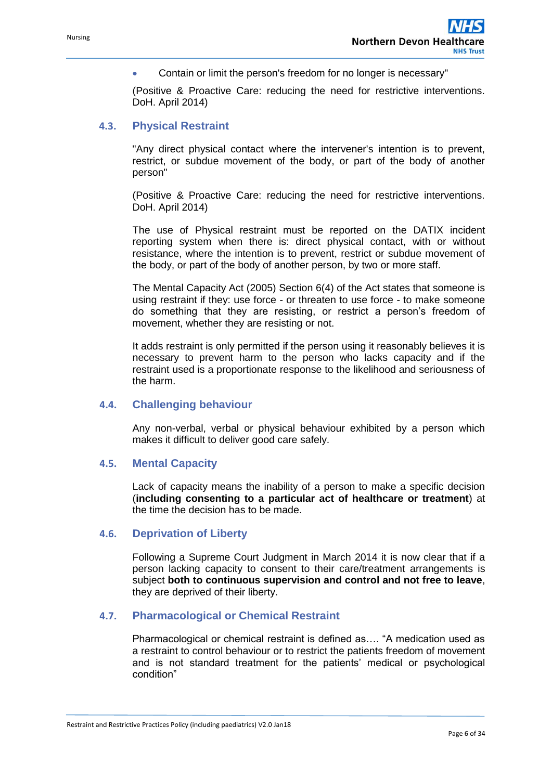Contain or limit the person's freedom for no longer is necessary"

(Positive & Proactive Care: reducing the need for restrictive interventions. DoH. April 2014)

## **4.3. Physical Restraint**

"Any direct physical contact where the intervener's intention is to prevent, restrict, or subdue movement of the body, or part of the body of another person"

(Positive & Proactive Care: reducing the need for restrictive interventions. DoH. April 2014)

The use of Physical restraint must be reported on the DATIX incident reporting system when there is: direct physical contact, with or without resistance, where the intention is to prevent, restrict or subdue movement of the body, or part of the body of another person, by two or more staff.

The Mental Capacity Act (2005) Section 6(4) of the Act states that someone is using restraint if they: use force - or threaten to use force - to make someone do something that they are resisting, or restrict a person's freedom of movement, whether they are resisting or not.

It adds restraint is only permitted if the person using it reasonably believes it is necessary to prevent harm to the person who lacks capacity and if the restraint used is a proportionate response to the likelihood and seriousness of the harm.

#### **4.4. Challenging behaviour**

Any non-verbal, verbal or physical behaviour exhibited by a person which makes it difficult to deliver good care safely.

#### **4.5. Mental Capacity**

Lack of capacity means the inability of a person to make a specific decision (**including consenting to a particular act of healthcare or treatment**) at the time the decision has to be made.

#### **4.6. Deprivation of Liberty**

Following a Supreme Court Judgment in March 2014 it is now clear that if a person lacking capacity to consent to their care/treatment arrangements is subject **both to continuous supervision and control and not free to leave**, they are deprived of their liberty.

## **4.7. Pharmacological or Chemical Restraint**

Pharmacological or chemical restraint is defined as…. "A medication used as a restraint to control behaviour or to restrict the patients freedom of movement and is not standard treatment for the patients' medical or psychological condition"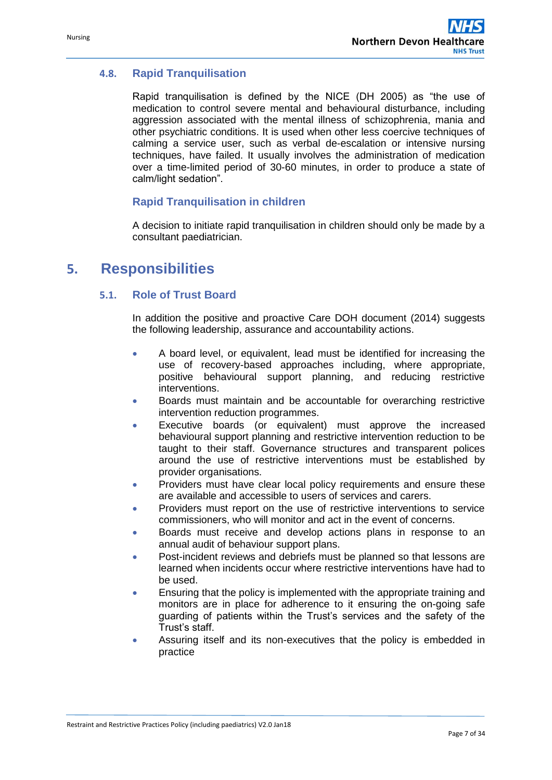## **4.8. Rapid Tranquilisation**

Rapid tranquilisation is defined by the NICE (DH 2005) as "the use of medication to control severe mental and behavioural disturbance, including aggression associated with the mental illness of schizophrenia, mania and other psychiatric conditions. It is used when other less coercive techniques of calming a service user, such as verbal de-escalation or intensive nursing techniques, have failed. It usually involves the administration of medication over a time-limited period of 30-60 minutes, in order to produce a state of calm/light sedation".

## **Rapid Tranquilisation in children**

A decision to initiate rapid tranquilisation in children should only be made by a consultant paediatrician.

# <span id="page-6-0"></span>**5. Responsibilities**

## **5.1. Role of Trust Board**

In addition the positive and proactive Care DOH document (2014) suggests the following leadership, assurance and accountability actions.

- A board level, or equivalent, lead must be identified for increasing the use of recovery-based approaches including, where appropriate, positive behavioural support planning, and reducing restrictive interventions.
- Boards must maintain and be accountable for overarching restrictive intervention reduction programmes.
- Executive boards (or equivalent) must approve the increased behavioural support planning and restrictive intervention reduction to be taught to their staff. Governance structures and transparent polices around the use of restrictive interventions must be established by provider organisations.
- Providers must have clear local policy requirements and ensure these are available and accessible to users of services and carers.
- Providers must report on the use of restrictive interventions to service commissioners, who will monitor and act in the event of concerns.
- Boards must receive and develop actions plans in response to an annual audit of behaviour support plans.
- Post-incident reviews and debriefs must be planned so that lessons are learned when incidents occur where restrictive interventions have had to be used.
- Ensuring that the policy is implemented with the appropriate training and monitors are in place for adherence to it ensuring the on-going safe guarding of patients within the Trust's services and the safety of the Trust's staff.
- Assuring itself and its non-executives that the policy is embedded in practice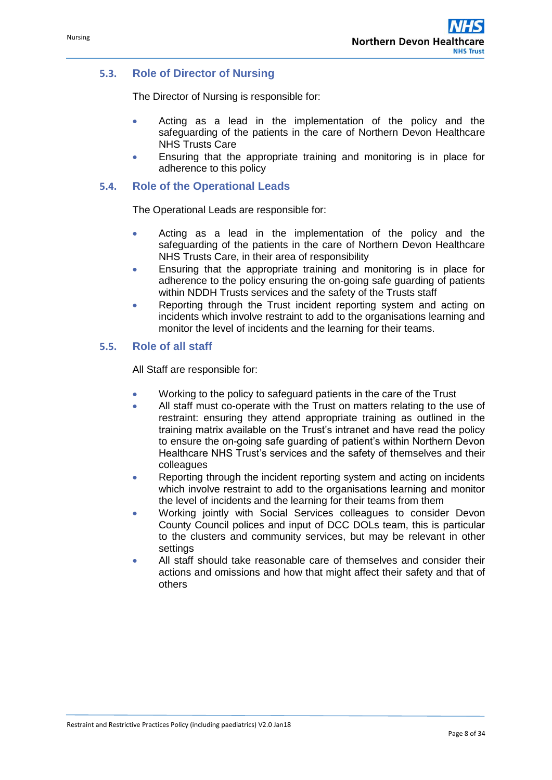## **5.3. Role of Director of Nursing**

The Director of Nursing is responsible for:

- Acting as a lead in the implementation of the policy and the safeguarding of the patients in the care of Northern Devon Healthcare NHS Trusts Care
- Ensuring that the appropriate training and monitoring is in place for adherence to this policy

## **5.4. Role of the Operational Leads**

The Operational Leads are responsible for:

- Acting as a lead in the implementation of the policy and the safeguarding of the patients in the care of Northern Devon Healthcare NHS Trusts Care, in their area of responsibility
- Ensuring that the appropriate training and monitoring is in place for adherence to the policy ensuring the on-going safe guarding of patients within NDDH Trusts services and the safety of the Trusts staff
- Reporting through the Trust incident reporting system and acting on incidents which involve restraint to add to the organisations learning and monitor the level of incidents and the learning for their teams.

## **5.5. Role of all staff**

All Staff are responsible for:

- Working to the policy to safeguard patients in the care of the Trust
- All staff must co-operate with the Trust on matters relating to the use of restraint: ensuring they attend appropriate training as outlined in the training matrix available on the Trust's intranet and have read the policy to ensure the on-going safe guarding of patient's within Northern Devon Healthcare NHS Trust's services and the safety of themselves and their colleagues
- Reporting through the incident reporting system and acting on incidents which involve restraint to add to the organisations learning and monitor the level of incidents and the learning for their teams from them
- Working jointly with Social Services colleagues to consider Devon County Council polices and input of DCC DOLs team, this is particular to the clusters and community services, but may be relevant in other settings
- All staff should take reasonable care of themselves and consider their actions and omissions and how that might affect their safety and that of others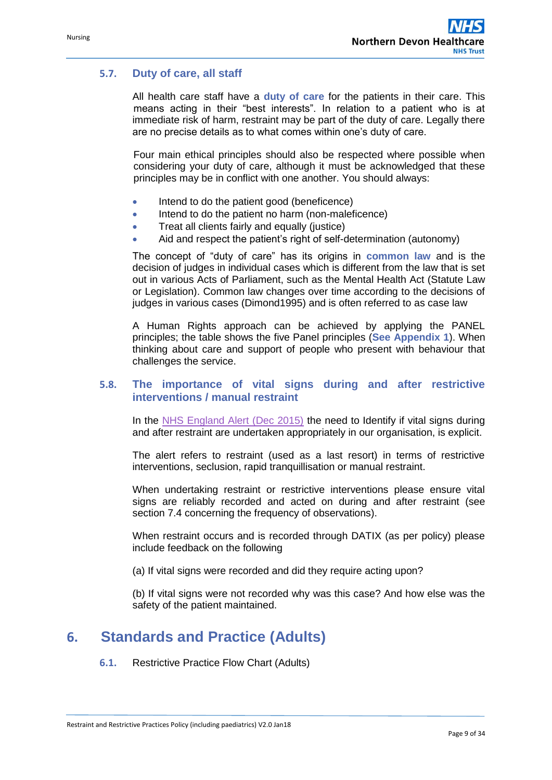## **5.7. Duty of care, all staff**

All health care staff have a **duty of care** for the patients in their care. This means acting in their "best interests". In relation to a patient who is at immediate risk of harm, restraint may be part of the duty of care. Legally there are no precise details as to what comes within one's duty of care.

Four main ethical principles should also be respected where possible when considering your duty of care, although it must be acknowledged that these principles may be in conflict with one another. You should always:

- Intend to do the patient good (beneficence)
- Intend to do the patient no harm (non-maleficence)
- Treat all clients fairly and equally (justice)
- Aid and respect the patient's right of self-determination (autonomy)

The concept of "duty of care" has its origins in **common law** and is the decision of judges in individual cases which is different from the law that is set out in various Acts of Parliament, such as the Mental Health Act (Statute Law or Legislation). Common law changes over time according to the decisions of judges in various cases (Dimond1995) and is often referred to as case law

A Human Rights approach can be achieved by applying the PANEL principles; the table shows the five Panel principles (**See Appendix 1**). When thinking about care and support of people who present with behaviour that challenges the service.

#### **5.8. The importance of vital signs during and after restrictive interventions / manual restraint**

In the [NHS England Alert \(Dec 2015\)](https://www.england.nhs.uk/2015/12/psa-vital-signs-restrictive-interventions/) the need to Identify if vital signs during and after restraint are undertaken appropriately in our organisation, is explicit.

The alert refers to restraint (used as a last resort) in terms of restrictive interventions, seclusion, rapid tranquillisation or manual restraint.

When undertaking restraint or restrictive interventions please ensure vital signs are reliably recorded and acted on during and after restraint (see section 7.4 concerning the frequency of observations).

When restraint occurs and is recorded through DATIX (as per policy) please include feedback on the following

(a) If vital signs were recorded and did they require acting upon?

(b) If vital signs were not recorded why was this case? And how else was the safety of the patient maintained.

# <span id="page-8-0"></span>**6. Standards and Practice (Adults)**

**6.1.** Restrictive Practice Flow Chart (Adults)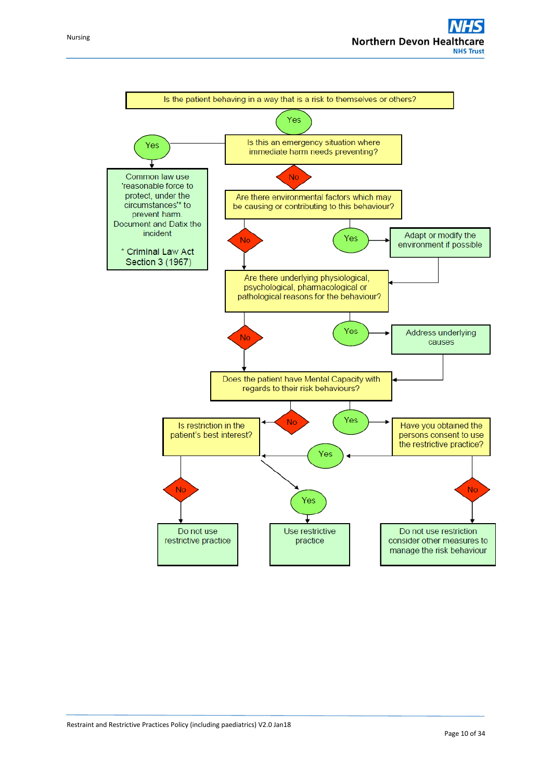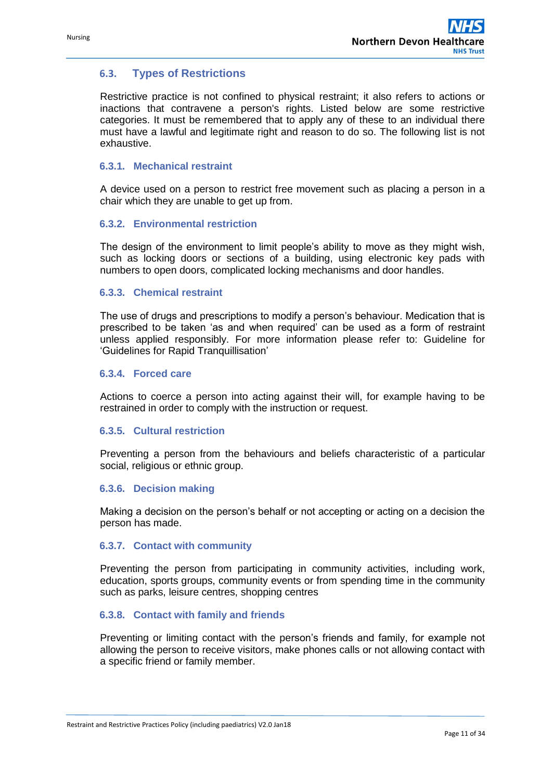## **6.3. Types of Restrictions**

Restrictive practice is not confined to physical restraint; it also refers to actions or inactions that contravene a person's rights. Listed below are some restrictive categories. It must be remembered that to apply any of these to an individual there must have a lawful and legitimate right and reason to do so. The following list is not exhaustive.

#### **6.3.1. Mechanical restraint**

A device used on a person to restrict free movement such as placing a person in a chair which they are unable to get up from.

#### **6.3.2. Environmental restriction**

The design of the environment to limit people's ability to move as they might wish, such as locking doors or sections of a building, using electronic key pads with numbers to open doors, complicated locking mechanisms and door handles.

#### **6.3.3. Chemical restraint**

The use of drugs and prescriptions to modify a person's behaviour. Medication that is prescribed to be taken 'as and when required' can be used as a form of restraint unless applied responsibly. For more information please refer to: Guideline for 'Guidelines for Rapid Tranquillisation'

#### **6.3.4. Forced care**

Actions to coerce a person into acting against their will, for example having to be restrained in order to comply with the instruction or request.

#### **6.3.5. Cultural restriction**

Preventing a person from the behaviours and beliefs characteristic of a particular social, religious or ethnic group.

#### **6.3.6. Decision making**

Making a decision on the person's behalf or not accepting or acting on a decision the person has made.

#### **6.3.7. Contact with community**

Preventing the person from participating in community activities, including work, education, sports groups, community events or from spending time in the community such as parks, leisure centres, shopping centres

#### **6.3.8. Contact with family and friends**

Preventing or limiting contact with the person's friends and family, for example not allowing the person to receive visitors, make phones calls or not allowing contact with a specific friend or family member.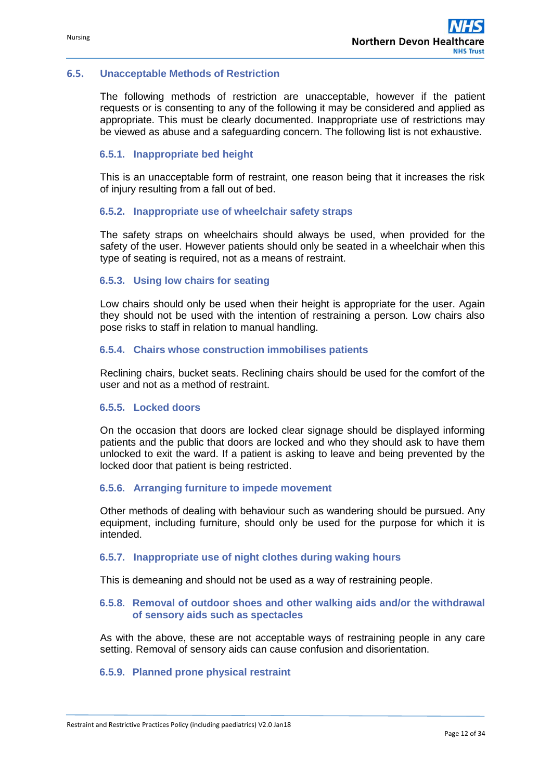#### **6.5. Unacceptable Methods of Restriction**

The following methods of restriction are unacceptable, however if the patient requests or is consenting to any of the following it may be considered and applied as appropriate. This must be clearly documented. Inappropriate use of restrictions may be viewed as abuse and a safeguarding concern. The following list is not exhaustive.

#### **6.5.1. Inappropriate bed height**

This is an unacceptable form of restraint, one reason being that it increases the risk of injury resulting from a fall out of bed.

#### **6.5.2. Inappropriate use of wheelchair safety straps**

The safety straps on wheelchairs should always be used, when provided for the safety of the user. However patients should only be seated in a wheelchair when this type of seating is required, not as a means of restraint.

#### **6.5.3. Using low chairs for seating**

Low chairs should only be used when their height is appropriate for the user. Again they should not be used with the intention of restraining a person. Low chairs also pose risks to staff in relation to manual handling.

#### **6.5.4. Chairs whose construction immobilises patients**

Reclining chairs, bucket seats. Reclining chairs should be used for the comfort of the user and not as a method of restraint.

#### **6.5.5. Locked doors**

On the occasion that doors are locked clear signage should be displayed informing patients and the public that doors are locked and who they should ask to have them unlocked to exit the ward. If a patient is asking to leave and being prevented by the locked door that patient is being restricted.

#### **6.5.6. Arranging furniture to impede movement**

Other methods of dealing with behaviour such as wandering should be pursued. Any equipment, including furniture, should only be used for the purpose for which it is intended.

#### **6.5.7. Inappropriate use of night clothes during waking hours**

This is demeaning and should not be used as a way of restraining people.

#### **6.5.8. Removal of outdoor shoes and other walking aids and/or the withdrawal of sensory aids such as spectacles**

As with the above, these are not acceptable ways of restraining people in any care setting. Removal of sensory aids can cause confusion and disorientation.

#### **6.5.9. Planned prone physical restraint**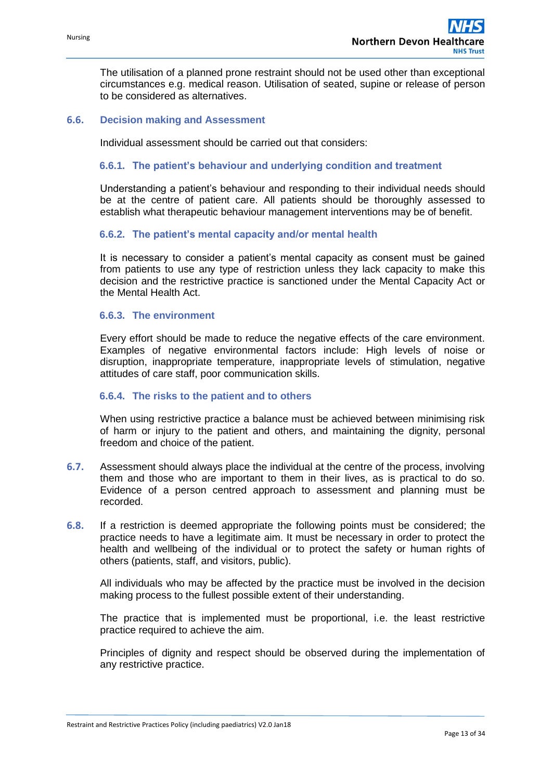The utilisation of a planned prone restraint should not be used other than exceptional circumstances e.g. medical reason. Utilisation of seated, supine or release of person to be considered as alternatives.

#### **6.6. Decision making and Assessment**

Individual assessment should be carried out that considers:

#### **6.6.1. The patient's behaviour and underlying condition and treatment**

Understanding a patient's behaviour and responding to their individual needs should be at the centre of patient care. All patients should be thoroughly assessed to establish what therapeutic behaviour management interventions may be of benefit.

#### **6.6.2. The patient's mental capacity and/or mental health**

It is necessary to consider a patient's mental capacity as consent must be gained from patients to use any type of restriction unless they lack capacity to make this decision and the restrictive practice is sanctioned under the Mental Capacity Act or the Mental Health Act.

#### **6.6.3. The environment**

Every effort should be made to reduce the negative effects of the care environment. Examples of negative environmental factors include: High levels of noise or disruption, inappropriate temperature, inappropriate levels of stimulation, negative attitudes of care staff, poor communication skills.

#### **6.6.4. The risks to the patient and to others**

When using restrictive practice a balance must be achieved between minimising risk of harm or injury to the patient and others, and maintaining the dignity, personal freedom and choice of the patient.

- **6.7.** Assessment should always place the individual at the centre of the process, involving them and those who are important to them in their lives, as is practical to do so. Evidence of a person centred approach to assessment and planning must be recorded.
- **6.8.** If a restriction is deemed appropriate the following points must be considered; the practice needs to have a legitimate aim. It must be necessary in order to protect the health and wellbeing of the individual or to protect the safety or human rights of others (patients, staff, and visitors, public).

All individuals who may be affected by the practice must be involved in the decision making process to the fullest possible extent of their understanding.

The practice that is implemented must be proportional, i.e. the least restrictive practice required to achieve the aim.

Principles of dignity and respect should be observed during the implementation of any restrictive practice.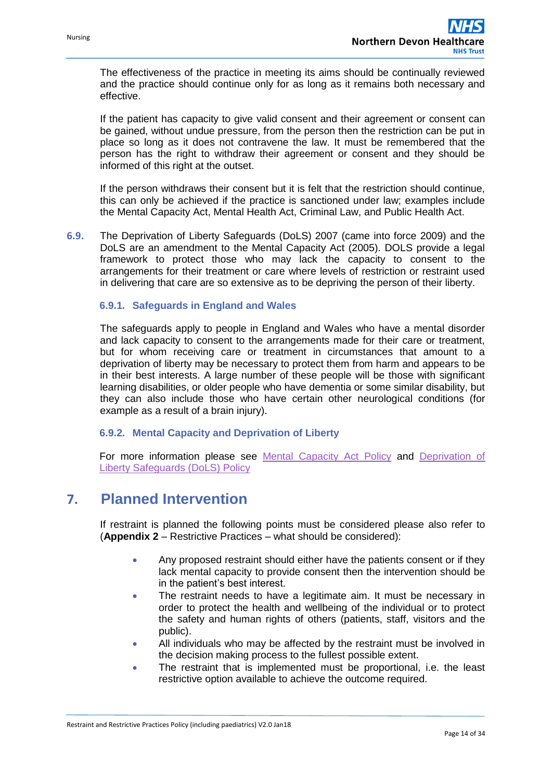The effectiveness of the practice in meeting its aims should be continually reviewed and the practice should continue only for as long as it remains both necessary and effective.

If the patient has capacity to give valid consent and their agreement or consent can be gained, without undue pressure, from the person then the restriction can be put in place so long as it does not contravene the law. It must be remembered that the person has the right to withdraw their agreement or consent and they should be informed of this right at the outset.

If the person withdraws their consent but it is felt that the restriction should continue, this can only be achieved if the practice is sanctioned under law; examples include the Mental Capacity Act, Mental Health Act, Criminal Law, and Public Health Act.

**6.9.** The Deprivation of Liberty Safeguards (DoLS) 2007 (came into force 2009) and the DoLS are an amendment to the Mental Capacity Act (2005). DOLS provide a legal framework to protect those who may lack the capacity to consent to the arrangements for their treatment or care where levels of restriction or restraint used in delivering that care are so extensive as to be depriving the person of their liberty.

#### **6.9.1. Safeguards in England and Wales**

The safeguards apply to people in England and Wales who have a mental disorder and lack capacity to consent to the arrangements made for their care or treatment, but for whom receiving care or treatment in circumstances that amount to a deprivation of liberty may be necessary to protect them from harm and appears to be in their best interests. A large number of these people will be those with significant learning disabilities, or older people who have dementia or some similar disability, but they can also include those who have certain other neurological conditions (for example as a result of a brain injury).

#### **6.9.2. Mental Capacity and Deprivation of Liberty**

For more information please see [Mental Capacity Act Policy](http://archivemanager.nds.internal/ViewMessage.aspx?CheckSum=ed5f62f7-3315-d0d1-c2a8-d024e4a36b1c) and [Deprivation of](http://archivemanager.nds.internal/ViewMessage.aspx?CheckSum=ed5f62f7-3315-d0d1-c2a8-d024e4a36b1c)  [Liberty Safeguards \(DoLS\) Policy](http://archivemanager.nds.internal/ViewMessage.aspx?CheckSum=ed5f62f7-3315-d0d1-c2a8-d024e4a36b1c)

# <span id="page-13-0"></span>**7. Planned Intervention**

If restraint is planned the following points must be considered please also refer to (**Appendix 2** – Restrictive Practices – what should be considered):

- Any proposed restraint should either have the patients consent or if they lack mental capacity to provide consent then the intervention should be in the patient's best interest.
- The restraint needs to have a legitimate aim. It must be necessary in order to protect the health and wellbeing of the individual or to protect the safety and human rights of others (patients, staff, visitors and the public).
- All individuals who may be affected by the restraint must be involved in the decision making process to the fullest possible extent.
- The restraint that is implemented must be proportional, i.e. the least restrictive option available to achieve the outcome required.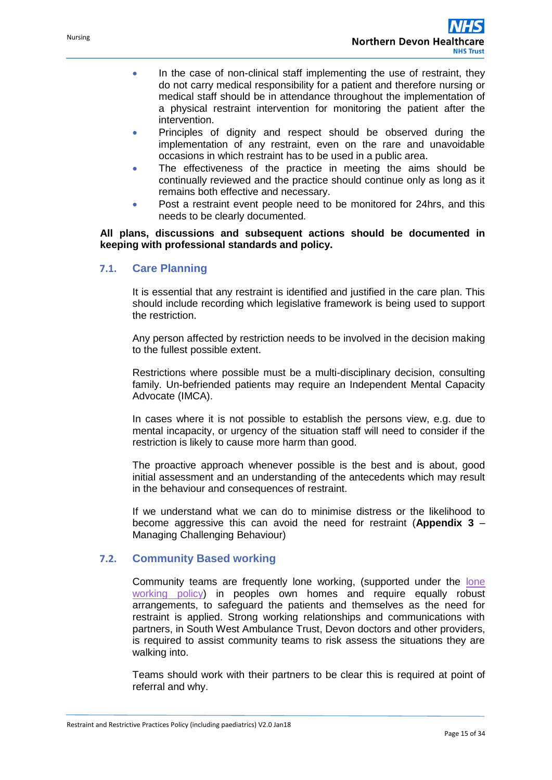- In the case of non-clinical staff implementing the use of restraint, they do not carry medical responsibility for a patient and therefore nursing or medical staff should be in attendance throughout the implementation of a physical restraint intervention for monitoring the patient after the intervention.
- Principles of dignity and respect should be observed during the implementation of any restraint, even on the rare and unavoidable occasions in which restraint has to be used in a public area.
- The effectiveness of the practice in meeting the aims should be continually reviewed and the practice should continue only as long as it remains both effective and necessary.
- Post a restraint event people need to be monitored for 24hrs, and this needs to be clearly documented.

**All plans, discussions and subsequent actions should be documented in keeping with professional standards and policy.**

## **7.1. Care Planning**

It is essential that any restraint is identified and justified in the care plan. This should include recording which legislative framework is being used to support the restriction.

Any person affected by restriction needs to be involved in the decision making to the fullest possible extent.

Restrictions where possible must be a multi-disciplinary decision, consulting family. Un-befriended patients may require an Independent Mental Capacity Advocate (IMCA).

In cases where it is not possible to establish the persons view, e.g. due to mental incapacity, or urgency of the situation staff will need to consider if the restriction is likely to cause more harm than good.

The proactive approach whenever possible is the best and is about, good initial assessment and an understanding of the antecedents which may result in the behaviour and consequences of restraint.

If we understand what we can do to minimise distress or the likelihood to become aggressive this can avoid the need for restraint (**Appendix 3** – Managing Challenging Behaviour)

### **7.2. Community Based working**

Community teams are frequently lone working, (supported under the [lone](http://archivemanager.nds.internal/ViewMessage.aspx?CheckSum=ed5f62f7-3315-d0d1-c2a8-d024e4a36b1c)  [working policy\)](http://archivemanager.nds.internal/ViewMessage.aspx?CheckSum=ed5f62f7-3315-d0d1-c2a8-d024e4a36b1c) in peoples own homes and require equally robust arrangements, to safeguard the patients and themselves as the need for restraint is applied. Strong working relationships and communications with partners, in South West Ambulance Trust, Devon doctors and other providers, is required to assist community teams to risk assess the situations they are walking into.

Teams should work with their partners to be clear this is required at point of referral and why.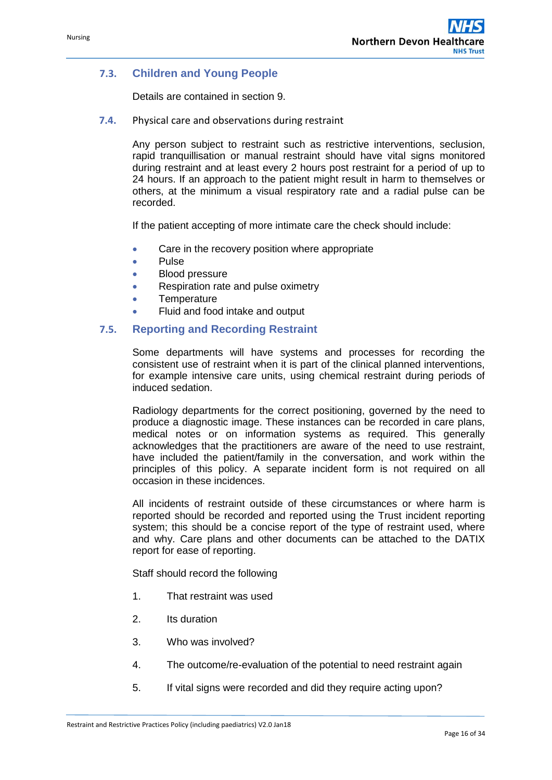## **7.3. Children and Young People**

Details are contained in section 9.

**7.4.** Physical care and observations during restraint

Any person subject to restraint such as restrictive interventions, seclusion, rapid tranquillisation or manual restraint should have vital signs monitored during restraint and at least every 2 hours post restraint for a period of up to 24 hours. If an approach to the patient might result in harm to themselves or others, at the minimum a visual respiratory rate and a radial pulse can be recorded.

If the patient accepting of more intimate care the check should include:

- Care in the recovery position where appropriate
- Pulse
- Blood pressure
- Respiration rate and pulse oximetry
- **Temperature**
- Fluid and food intake and output

### **7.5. Reporting and Recording Restraint**

Some departments will have systems and processes for recording the consistent use of restraint when it is part of the clinical planned interventions, for example intensive care units, using chemical restraint during periods of induced sedation.

Radiology departments for the correct positioning, governed by the need to produce a diagnostic image. These instances can be recorded in care plans, medical notes or on information systems as required. This generally acknowledges that the practitioners are aware of the need to use restraint, have included the patient/family in the conversation, and work within the principles of this policy. A separate incident form is not required on all occasion in these incidences.

All incidents of restraint outside of these circumstances or where harm is reported should be recorded and reported using the Trust incident reporting system; this should be a concise report of the type of restraint used, where and why. Care plans and other documents can be attached to the DATIX report for ease of reporting.

Staff should record the following

- 1. That restraint was used
- 2. Its duration
- 3. Who was involved?
- 4. The outcome/re-evaluation of the potential to need restraint again
- 5. If vital signs were recorded and did they require acting upon?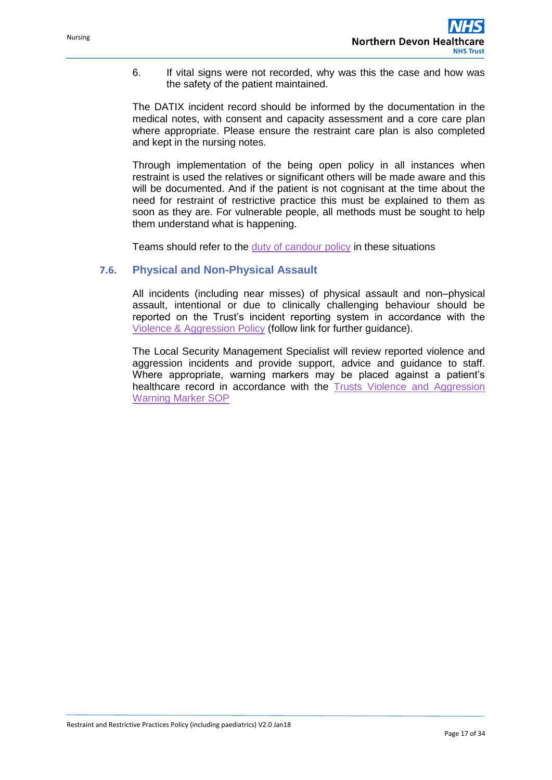6. If vital signs were not recorded, why was this the case and how was the safety of the patient maintained.

The DATIX incident record should be informed by the documentation in the medical notes, with consent and capacity assessment and a core care plan where appropriate. Please ensure the restraint care plan is also completed and kept in the nursing notes.

Through implementation of the being open policy in all instances when restraint is used the relatives or significant others will be made aware and this will be documented. And if the patient is not cognisant at the time about the need for restraint of restrictive practice this must be explained to them as soon as they are. For vulnerable people, all methods must be sought to help them understand what is happening.

Teams should refer to the [duty of candour policy](http://archivemanager.nds.internal/ViewMessage.aspx?CheckSum=ed5f62f7-3315-d0d1-c2a8-d024e4a36b1c) in these situations

#### **7.6. Physical and Non-Physical Assault**

All incidents (including near misses) of physical assault and non–physical assault, intentional or due to clinically challenging behaviour should be reported on the Trust's incident reporting system in accordance with the [Violence & Aggression Policy](http://www.northdevonhealth.nhs.uk/new/wp-content/uploads/2015/09/Violence-Aggresion-Policy-V3.0-15Sep15-Web-Version.pdf) (follow link for further guidance).

The Local Security Management Specialist will review reported violence and aggression incidents and provide support, advice and guidance to staff. Where appropriate, warning markers may be placed against a patient's healthcare record in accordance with the [Trusts Violence and Aggression](http://archivemanager.nds.internal/ViewMessage.aspx?CheckSum=ed5f62f7-3315-d0d1-c2a8-d024e4a36b1c)  [Warning Marker SOP](http://archivemanager.nds.internal/ViewMessage.aspx?CheckSum=ed5f62f7-3315-d0d1-c2a8-d024e4a36b1c)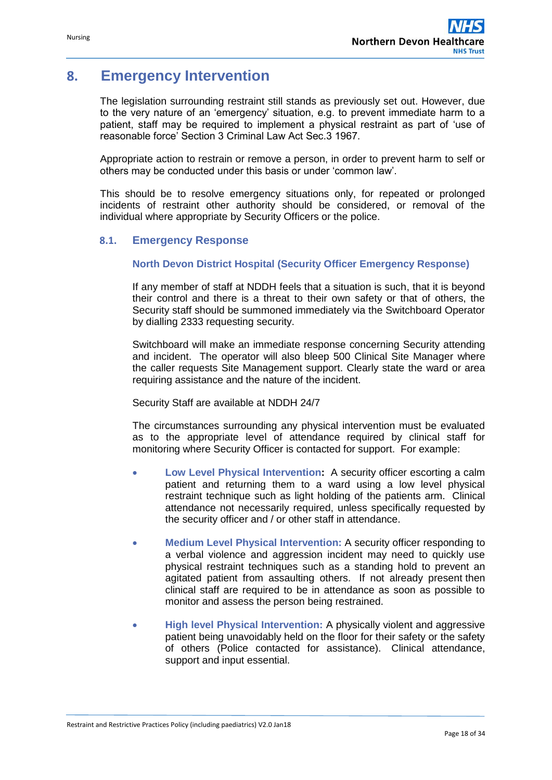# <span id="page-17-0"></span>**8. Emergency Intervention**

The legislation surrounding restraint still stands as previously set out. However, due to the very nature of an 'emergency' situation, e.g. to prevent immediate harm to a patient, staff may be required to implement a physical restraint as part of 'use of reasonable force' Section 3 Criminal Law Act Sec.3 1967.

Appropriate action to restrain or remove a person, in order to prevent harm to self or others may be conducted under this basis or under 'common law'.

This should be to resolve emergency situations only, for repeated or prolonged incidents of restraint other authority should be considered, or removal of the individual where appropriate by Security Officers or the police.

## **8.1. Emergency Response**

#### **North Devon District Hospital (Security Officer Emergency Response)**

If any member of staff at NDDH feels that a situation is such, that it is beyond their control and there is a threat to their own safety or that of others, the Security staff should be summoned immediately via the Switchboard Operator by dialling 2333 requesting security.

Switchboard will make an immediate response concerning Security attending and incident. The operator will also bleep 500 Clinical Site Manager where the caller requests Site Management support. Clearly state the ward or area requiring assistance and the nature of the incident.

Security Staff are available at NDDH 24/7

The circumstances surrounding any physical intervention must be evaluated as to the appropriate level of attendance required by clinical staff for monitoring where Security Officer is contacted for support. For example:

- **Low Level Physical Intervention:** A security officer escorting a calm patient and returning them to a ward using a low level physical restraint technique such as light holding of the patients arm. Clinical attendance not necessarily required, unless specifically requested by the security officer and / or other staff in attendance.
- **Medium Level Physical Intervention:** A security officer responding to a verbal violence and aggression incident may need to quickly use physical restraint techniques such as a standing hold to prevent an agitated patient from assaulting others. If not already present then clinical staff are required to be in attendance as soon as possible to monitor and assess the person being restrained.
- **High level Physical Intervention:** A physically violent and aggressive patient being unavoidably held on the floor for their safety or the safety of others (Police contacted for assistance). Clinical attendance, support and input essential.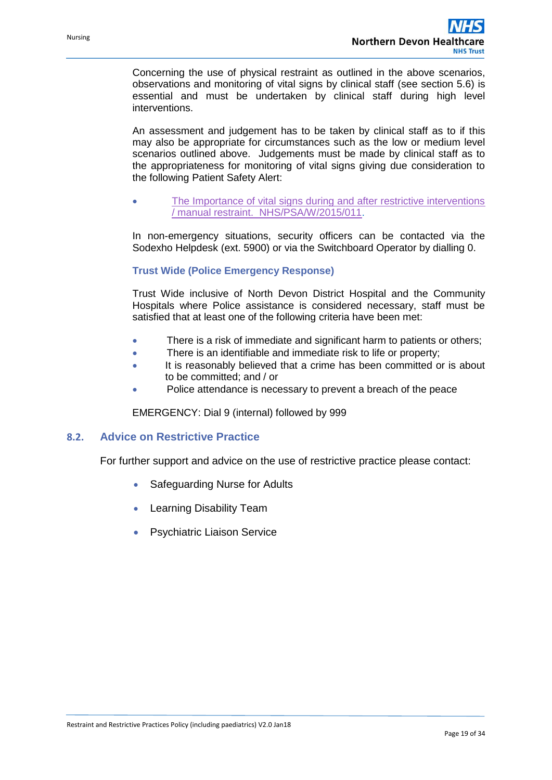Concerning the use of physical restraint as outlined in the above scenarios, observations and monitoring of vital signs by clinical staff (see section 5.6) is essential and must be undertaken by clinical staff during high level interventions.

An assessment and judgement has to be taken by clinical staff as to if this may also be appropriate for circumstances such as the low or medium level scenarios outlined above. Judgements must be made by clinical staff as to the appropriateness for monitoring of vital signs giving due consideration to the following Patient Safety Alert:

 [The Importance of vital signs during and after restrictive interventions](https://www.england.nhs.uk/wp-content/uploads/2015/12/psa-vital-signs-restrictive-interventions-031115.pdf)  [/ manual restraint. NHS/PSA/W/2015/011.](https://www.england.nhs.uk/wp-content/uploads/2015/12/psa-vital-signs-restrictive-interventions-031115.pdf)

In non-emergency situations, security officers can be contacted via the Sodexho Helpdesk (ext. 5900) or via the Switchboard Operator by dialling 0.

#### **Trust Wide (Police Emergency Response)**

Trust Wide inclusive of North Devon District Hospital and the Community Hospitals where Police assistance is considered necessary, staff must be satisfied that at least one of the following criteria have been met:

- There is a risk of immediate and significant harm to patients or others;
- There is an identifiable and immediate risk to life or property;
- It is reasonably believed that a crime has been committed or is about to be committed; and / or
- Police attendance is necessary to prevent a breach of the peace

EMERGENCY: Dial 9 (internal) followed by 999

#### **8.2. Advice on Restrictive Practice**

For further support and advice on the use of restrictive practice please contact:

- Safeguarding Nurse for Adults
- Learning Disability Team
- **•** Psychiatric Liaison Service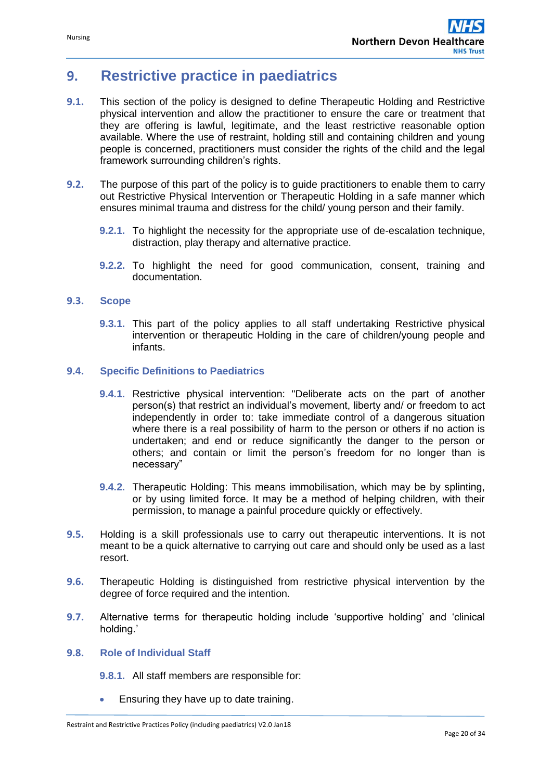# <span id="page-19-0"></span>**9. Restrictive practice in paediatrics**

- **9.1.** This section of the policy is designed to define Therapeutic Holding and Restrictive physical intervention and allow the practitioner to ensure the care or treatment that they are offering is lawful, legitimate, and the least restrictive reasonable option available. Where the use of restraint, holding still and containing children and young people is concerned, practitioners must consider the rights of the child and the legal framework surrounding children's rights.
- **9.2.** The purpose of this part of the policy is to guide practitioners to enable them to carry out Restrictive Physical Intervention or Therapeutic Holding in a safe manner which ensures minimal trauma and distress for the child/ young person and their family.
	- **9.2.1.** To highlight the necessity for the appropriate use of de-escalation technique, distraction, play therapy and alternative practice.
	- **9.2.2.** To highlight the need for good communication, consent, training and documentation.

#### **9.3. Scope**

**9.3.1.** This part of the policy applies to all staff undertaking Restrictive physical intervention or therapeutic Holding in the care of children/young people and infants.

## **9.4. Specific Definitions to Paediatrics**

- **9.4.1.** Restrictive physical intervention: "Deliberate acts on the part of another person(s) that restrict an individual's movement, liberty and/ or freedom to act independently in order to: take immediate control of a dangerous situation where there is a real possibility of harm to the person or others if no action is undertaken; and end or reduce significantly the danger to the person or others; and contain or limit the person's freedom for no longer than is necessary"
- **9.4.2.** Therapeutic Holding: This means immobilisation, which may be by splinting, or by using limited force. It may be a method of helping children, with their permission, to manage a painful procedure quickly or effectively.
- **9.5.** Holding is a skill professionals use to carry out therapeutic interventions. It is not meant to be a quick alternative to carrying out care and should only be used as a last resort.
- **9.6.** Therapeutic Holding is distinguished from restrictive physical intervention by the degree of force required and the intention.
- **9.7.** Alternative terms for therapeutic holding include 'supportive holding' and 'clinical holding.'

#### **9.8. Role of Individual Staff**

**9.8.1.** All staff members are responsible for:

Ensuring they have up to date training.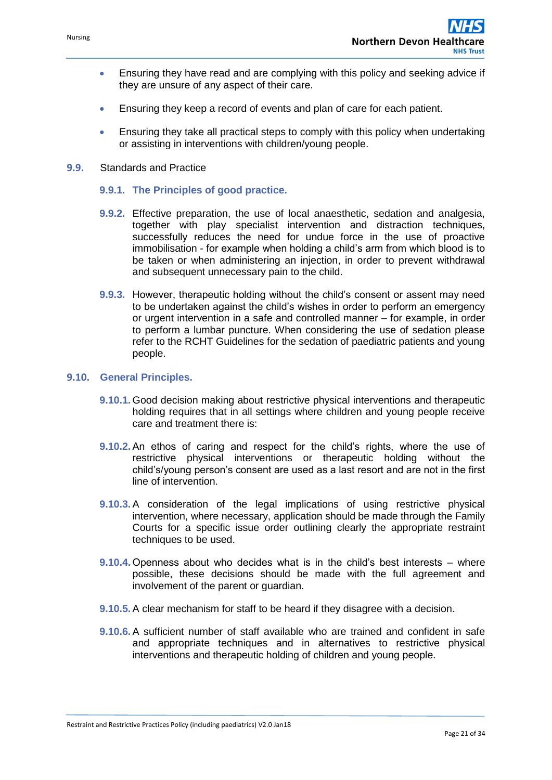- Ensuring they have read and are complying with this policy and seeking advice if they are unsure of any aspect of their care.
- Ensuring they keep a record of events and plan of care for each patient.
- Ensuring they take all practical steps to comply with this policy when undertaking or assisting in interventions with children/young people.
- **9.9.** Standards and Practice
	- **9.9.1. The Principles of good practice.**
	- **9.9.2.** Effective preparation, the use of local anaesthetic, sedation and analgesia, together with play specialist intervention and distraction techniques, successfully reduces the need for undue force in the use of proactive immobilisation - for example when holding a child's arm from which blood is to be taken or when administering an injection, in order to prevent withdrawal and subsequent unnecessary pain to the child.
	- **9.9.3.** However, therapeutic holding without the child's consent or assent may need to be undertaken against the child's wishes in order to perform an emergency or urgent intervention in a safe and controlled manner – for example, in order to perform a lumbar puncture. When considering the use of sedation please refer to the RCHT Guidelines for the sedation of paediatric patients and young people.

#### **9.10. General Principles.**

- **9.10.1.** Good decision making about restrictive physical interventions and therapeutic holding requires that in all settings where children and young people receive care and treatment there is:
- **9.10.2.** An ethos of caring and respect for the child's rights, where the use of restrictive physical interventions or therapeutic holding without the child's/young person's consent are used as a last resort and are not in the first line of intervention.
- **9.10.3.** A consideration of the legal implications of using restrictive physical intervention, where necessary, application should be made through the Family Courts for a specific issue order outlining clearly the appropriate restraint techniques to be used.
- **9.10.4.** Openness about who decides what is in the child's best interests where possible, these decisions should be made with the full agreement and involvement of the parent or guardian.
- **9.10.5.** A clear mechanism for staff to be heard if they disagree with a decision.
- **9.10.6.** A sufficient number of staff available who are trained and confident in safe and appropriate techniques and in alternatives to restrictive physical interventions and therapeutic holding of children and young people.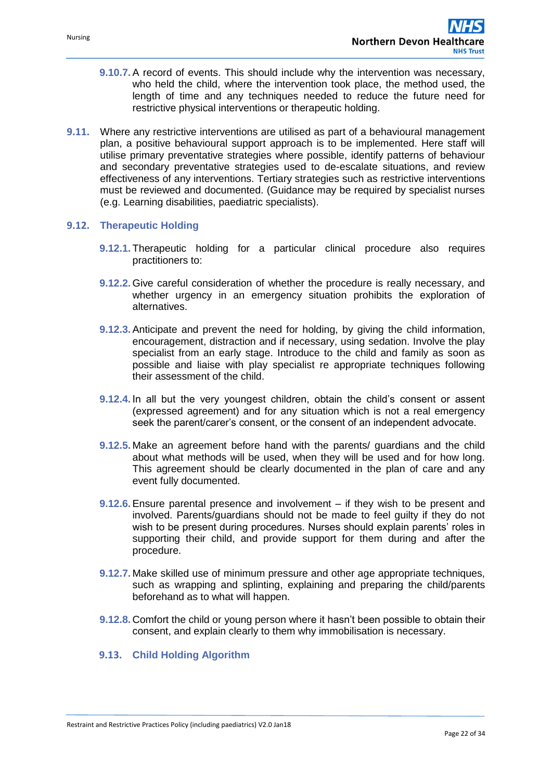- **9.10.7.** A record of events. This should include why the intervention was necessary, who held the child, where the intervention took place, the method used, the length of time and any techniques needed to reduce the future need for restrictive physical interventions or therapeutic holding.
- **9.11.** Where any restrictive interventions are utilised as part of a behavioural management plan, a positive behavioural support approach is to be implemented. Here staff will utilise primary preventative strategies where possible, identify patterns of behaviour and secondary preventative strategies used to de-escalate situations, and review effectiveness of any interventions. Tertiary strategies such as restrictive interventions must be reviewed and documented. (Guidance may be required by specialist nurses (e.g. Learning disabilities, paediatric specialists).

#### **9.12. Therapeutic Holding**

- **9.12.1.** Therapeutic holding for a particular clinical procedure also requires practitioners to:
- **9.12.2.** Give careful consideration of whether the procedure is really necessary, and whether urgency in an emergency situation prohibits the exploration of alternatives.
- **9.12.3.** Anticipate and prevent the need for holding, by giving the child information, encouragement, distraction and if necessary, using sedation. Involve the play specialist from an early stage. Introduce to the child and family as soon as possible and liaise with play specialist re appropriate techniques following their assessment of the child.
- **9.12.4.** In all but the very youngest children, obtain the child's consent or assent (expressed agreement) and for any situation which is not a real emergency seek the parent/carer's consent, or the consent of an independent advocate.
- **9.12.5.** Make an agreement before hand with the parents/ guardians and the child about what methods will be used, when they will be used and for how long. This agreement should be clearly documented in the plan of care and any event fully documented.
- **9.12.6.** Ensure parental presence and involvement if they wish to be present and involved. Parents/guardians should not be made to feel guilty if they do not wish to be present during procedures. Nurses should explain parents' roles in supporting their child, and provide support for them during and after the procedure.
- **9.12.7.** Make skilled use of minimum pressure and other age appropriate techniques, such as wrapping and splinting, explaining and preparing the child/parents beforehand as to what will happen.
- **9.12.8.** Comfort the child or young person where it hasn't been possible to obtain their consent, and explain clearly to them why immobilisation is necessary.

#### **9.13. Child Holding Algorithm**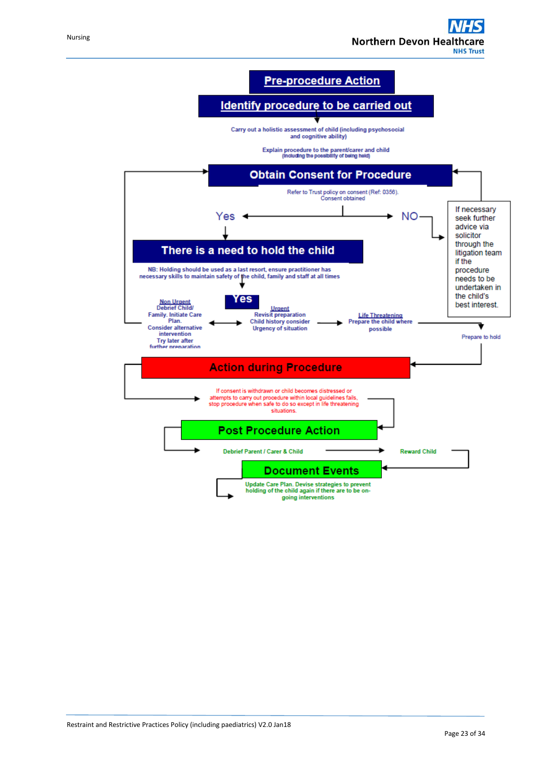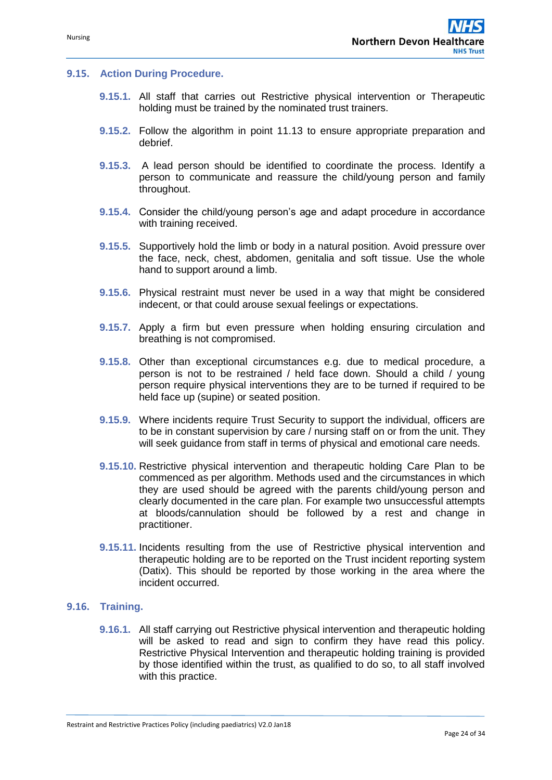#### **9.15. Action During Procedure.**

- **9.15.1.** All staff that carries out Restrictive physical intervention or Therapeutic holding must be trained by the nominated trust trainers.
- **9.15.2.** Follow the algorithm in point 11.13 to ensure appropriate preparation and debrief.
- **9.15.3.** A lead person should be identified to coordinate the process. Identify a person to communicate and reassure the child/young person and family throughout.
- **9.15.4.** Consider the child/young person's age and adapt procedure in accordance with training received.
- **9.15.5.** Supportively hold the limb or body in a natural position. Avoid pressure over the face, neck, chest, abdomen, genitalia and soft tissue. Use the whole hand to support around a limb.
- **9.15.6.** Physical restraint must never be used in a way that might be considered indecent, or that could arouse sexual feelings or expectations.
- **9.15.7.** Apply a firm but even pressure when holding ensuring circulation and breathing is not compromised.
- **9.15.8.** Other than exceptional circumstances e.g. due to medical procedure, a person is not to be restrained / held face down. Should a child / young person require physical interventions they are to be turned if required to be held face up (supine) or seated position.
- **9.15.9.** Where incidents require Trust Security to support the individual, officers are to be in constant supervision by care / nursing staff on or from the unit. They will seek quidance from staff in terms of physical and emotional care needs.
- **9.15.10.** Restrictive physical intervention and therapeutic holding Care Plan to be commenced as per algorithm. Methods used and the circumstances in which they are used should be agreed with the parents child/young person and clearly documented in the care plan. For example two unsuccessful attempts at bloods/cannulation should be followed by a rest and change in practitioner.
- **9.15.11.** Incidents resulting from the use of Restrictive physical intervention and therapeutic holding are to be reported on the Trust incident reporting system (Datix). This should be reported by those working in the area where the incident occurred.

#### **9.16. Training.**

**9.16.1.** All staff carrying out Restrictive physical intervention and therapeutic holding will be asked to read and sign to confirm they have read this policy. Restrictive Physical Intervention and therapeutic holding training is provided by those identified within the trust, as qualified to do so, to all staff involved with this practice.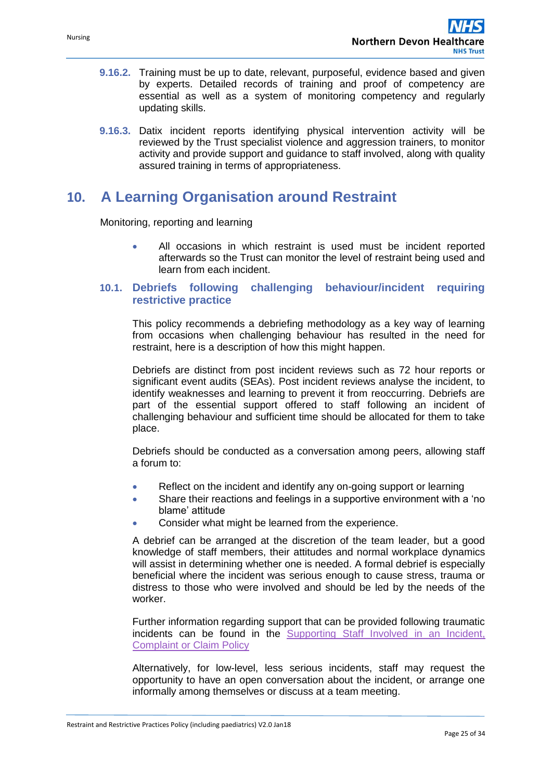- **9.16.2.** Training must be up to date, relevant, purposeful, evidence based and given by experts. Detailed records of training and proof of competency are essential as well as a system of monitoring competency and regularly updating skills.
- **9.16.3.** Datix incident reports identifying physical intervention activity will be reviewed by the Trust specialist violence and aggression trainers, to monitor activity and provide support and guidance to staff involved, along with quality assured training in terms of appropriateness.

# <span id="page-24-0"></span>**10. A Learning Organisation around Restraint**

Monitoring, reporting and learning

 All occasions in which restraint is used must be incident reported afterwards so the Trust can monitor the level of restraint being used and learn from each incident.

## **10.1. Debriefs following challenging behaviour/incident requiring restrictive practice**

This policy recommends a debriefing methodology as a key way of learning from occasions when challenging behaviour has resulted in the need for restraint, here is a description of how this might happen.

Debriefs are distinct from post incident reviews such as 72 hour reports or significant event audits (SEAs). Post incident reviews analyse the incident, to identify weaknesses and learning to prevent it from reoccurring. Debriefs are part of the essential support offered to staff following an incident of challenging behaviour and sufficient time should be allocated for them to take place.

Debriefs should be conducted as a conversation among peers, allowing staff a forum to:

- Reflect on the incident and identify any on-going support or learning
- Share their reactions and feelings in a supportive environment with a 'no blame' attitude
- Consider what might be learned from the experience.

A debrief can be arranged at the discretion of the team leader, but a good knowledge of staff members, their attitudes and normal workplace dynamics will assist in determining whether one is needed. A formal debrief is especially beneficial where the incident was serious enough to cause stress, trauma or distress to those who were involved and should be led by the needs of the worker.

Further information regarding support that can be provided following traumatic incidents can be found in the [Supporting Staff Involved in an Incident,](http://ndht.ndevon.swest.nhs.uk/supporting-staff-involved-in-an-incident-complaint-or-claim/)  [Complaint or Claim Policy](http://ndht.ndevon.swest.nhs.uk/supporting-staff-involved-in-an-incident-complaint-or-claim/)

Alternatively, for low-level, less serious incidents, staff may request the opportunity to have an open conversation about the incident, or arrange one informally among themselves or discuss at a team meeting.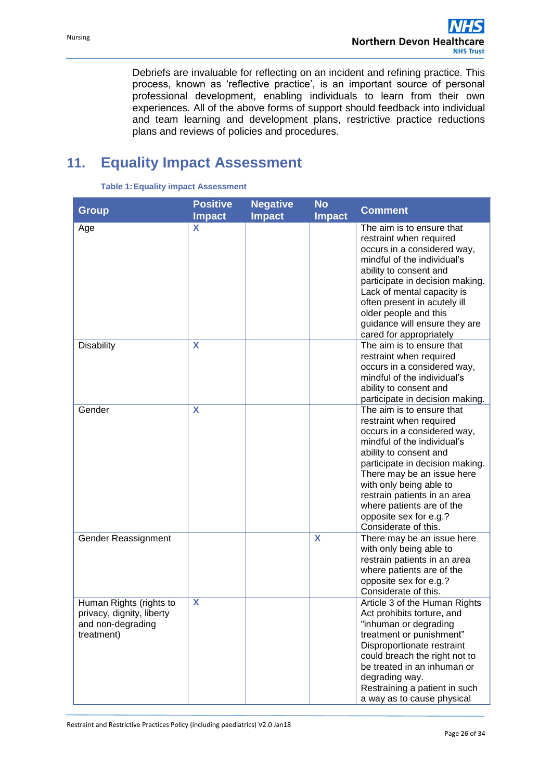Debriefs are invaluable for reflecting on an incident and refining practice. This process, known as 'reflective practice', is an important source of personal professional development, enabling individuals to learn from their own experiences. All of the above forms of support should feedback into individual and team learning and development plans, restrictive practice reductions plans and reviews of policies and procedures.

# <span id="page-25-0"></span>**11. Equality Impact Assessment**

| <b>Group</b>                                                                            | <b>Positive</b><br><b>Impact</b> | <b>Negative</b><br><b>Impact</b> | <b>No</b><br><b>Impact</b> | <b>Comment</b>                                                                                                                                                                                                                                                                                                                                          |
|-----------------------------------------------------------------------------------------|----------------------------------|----------------------------------|----------------------------|---------------------------------------------------------------------------------------------------------------------------------------------------------------------------------------------------------------------------------------------------------------------------------------------------------------------------------------------------------|
| Age                                                                                     | X                                |                                  |                            | The aim is to ensure that<br>restraint when required<br>occurs in a considered way,<br>mindful of the individual's<br>ability to consent and<br>participate in decision making.<br>Lack of mental capacity is<br>often present in acutely ill<br>older people and this<br>guidance will ensure they are<br>cared for appropriately                      |
| <b>Disability</b>                                                                       | X                                |                                  |                            | The aim is to ensure that<br>restraint when required<br>occurs in a considered way,<br>mindful of the individual's<br>ability to consent and<br>participate in decision making.                                                                                                                                                                         |
| Gender                                                                                  | X                                |                                  |                            | The aim is to ensure that<br>restraint when required<br>occurs in a considered way,<br>mindful of the individual's<br>ability to consent and<br>participate in decision making.<br>There may be an issue here<br>with only being able to<br>restrain patients in an area<br>where patients are of the<br>opposite sex for e.g.?<br>Considerate of this. |
| Gender Reassignment                                                                     |                                  |                                  | X                          | There may be an issue here<br>with only being able to<br>restrain patients in an area<br>where patients are of the<br>opposite sex for e.g.?<br>Considerate of this.                                                                                                                                                                                    |
| Human Rights (rights to<br>privacy, dignity, liberty<br>and non-degrading<br>treatment) | X                                |                                  |                            | Article 3 of the Human Rights<br>Act prohibits torture, and<br>"inhuman or degrading<br>treatment or punishment"<br>Disproportionate restraint<br>could breach the right not to<br>be treated in an inhuman or<br>degrading way.<br>Restraining a patient in such<br>a way as to cause physical                                                         |

#### **Table 1:Equality impact Assessment**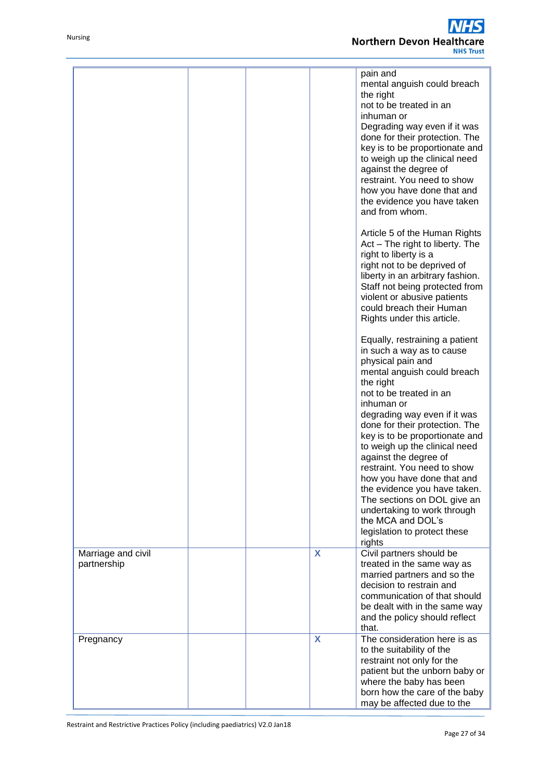#### $\overline{\textbf{s}}$ **Northern Devon Healthcare NHS Trust**

|                                   |  |   | pain and<br>mental anguish could breach<br>the right<br>not to be treated in an<br>inhuman or<br>Degrading way even if it was<br>done for their protection. The<br>key is to be proportionate and<br>to weigh up the clinical need<br>against the degree of<br>restraint. You need to show<br>how you have done that and<br>the evidence you have taken<br>and from whom.                                                                                                                      |
|-----------------------------------|--|---|------------------------------------------------------------------------------------------------------------------------------------------------------------------------------------------------------------------------------------------------------------------------------------------------------------------------------------------------------------------------------------------------------------------------------------------------------------------------------------------------|
|                                   |  |   | Article 5 of the Human Rights<br>Act - The right to liberty. The<br>right to liberty is a<br>right not to be deprived of<br>liberty in an arbitrary fashion.<br>Staff not being protected from<br>violent or abusive patients<br>could breach their Human<br>Rights under this article.                                                                                                                                                                                                        |
|                                   |  |   | Equally, restraining a patient<br>in such a way as to cause<br>physical pain and<br>mental anguish could breach<br>the right<br>not to be treated in an<br>inhuman or<br>degrading way even if it was<br>done for their protection. The<br>key is to be proportionate and<br>to weigh up the clinical need<br>against the degree of<br>restraint. You need to show<br>how you have done that and<br>the evidence you have taken.<br>The sections on DOL give an<br>undertaking to work through |
|                                   |  |   | the MCA and DOL's<br>legislation to protect these<br>rights                                                                                                                                                                                                                                                                                                                                                                                                                                    |
| Marriage and civil<br>partnership |  | X | Civil partners should be<br>treated in the same way as<br>married partners and so the<br>decision to restrain and<br>communication of that should<br>be dealt with in the same way<br>and the policy should reflect<br>that.                                                                                                                                                                                                                                                                   |
| Pregnancy                         |  | X | The consideration here is as<br>to the suitability of the<br>restraint not only for the<br>patient but the unborn baby or<br>where the baby has been<br>born how the care of the baby<br>may be affected due to the                                                                                                                                                                                                                                                                            |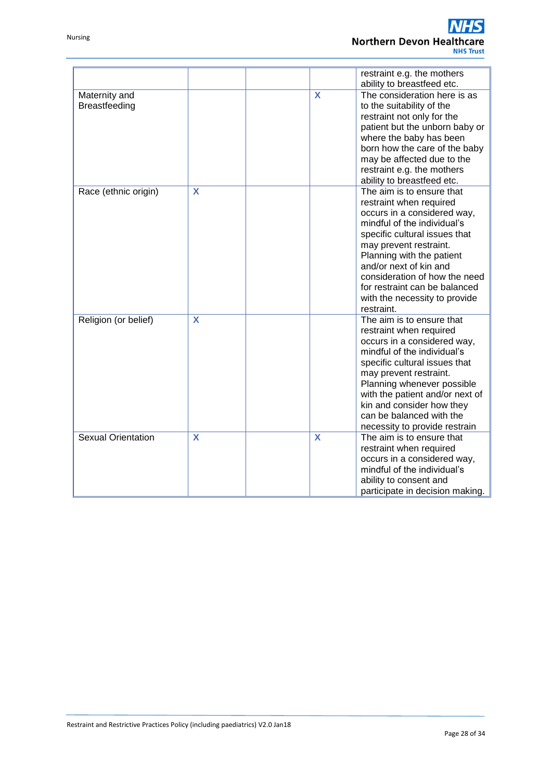|                           |   |                         | restraint e.g. the mothers<br>ability to breastfeed etc. |
|---------------------------|---|-------------------------|----------------------------------------------------------|
| Maternity and             |   | $\overline{\mathbf{X}}$ | The consideration here is as                             |
| <b>Breastfeeding</b>      |   |                         | to the suitability of the                                |
|                           |   |                         | restraint not only for the                               |
|                           |   |                         | patient but the unborn baby or                           |
|                           |   |                         | where the baby has been                                  |
|                           |   |                         | born how the care of the baby                            |
|                           |   |                         | may be affected due to the                               |
|                           |   |                         | restraint e.g. the mothers                               |
|                           |   |                         | ability to breastfeed etc.                               |
| Race (ethnic origin)      | X |                         | The aim is to ensure that                                |
|                           |   |                         | restraint when required                                  |
|                           |   |                         | occurs in a considered way,                              |
|                           |   |                         | mindful of the individual's                              |
|                           |   |                         | specific cultural issues that                            |
|                           |   |                         | may prevent restraint.                                   |
|                           |   |                         | Planning with the patient                                |
|                           |   |                         | and/or next of kin and                                   |
|                           |   |                         | consideration of how the need                            |
|                           |   |                         | for restraint can be balanced                            |
|                           |   |                         | with the necessity to provide                            |
|                           |   |                         | restraint.                                               |
| Religion (or belief)      | X |                         | The aim is to ensure that                                |
|                           |   |                         | restraint when required                                  |
|                           |   |                         | occurs in a considered way,                              |
|                           |   |                         | mindful of the individual's                              |
|                           |   |                         | specific cultural issues that                            |
|                           |   |                         | may prevent restraint.                                   |
|                           |   |                         | Planning whenever possible                               |
|                           |   |                         | with the patient and/or next of                          |
|                           |   |                         | kin and consider how they                                |
|                           |   |                         | can be balanced with the                                 |
|                           |   |                         | necessity to provide restrain                            |
| <b>Sexual Orientation</b> | X | X                       | The aim is to ensure that                                |
|                           |   |                         | restraint when required                                  |
|                           |   |                         | occurs in a considered way,                              |
|                           |   |                         | mindful of the individual's                              |
|                           |   |                         | ability to consent and                                   |
|                           |   |                         | participate in decision making.                          |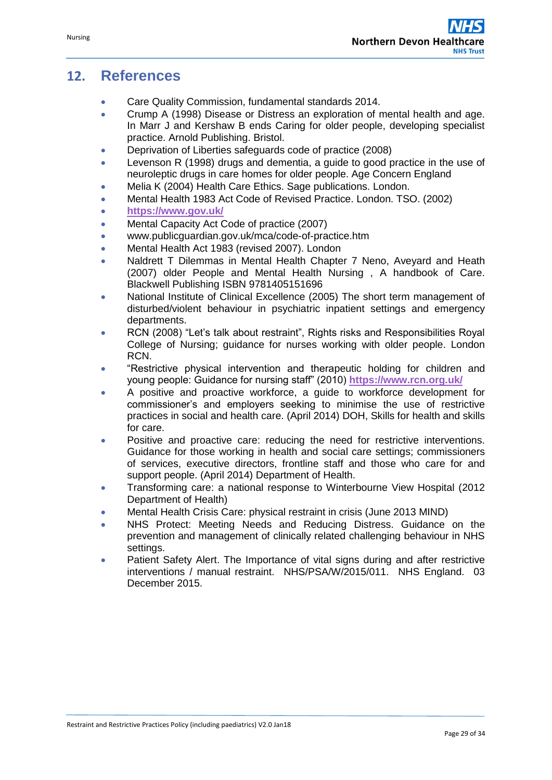# <span id="page-28-0"></span>**12. References**

- Care Quality Commission, fundamental standards 2014.
- Crump A (1998) Disease or Distress an exploration of mental health and age. In Marr J and Kershaw B ends Caring for older people, developing specialist practice. Arnold Publishing. Bristol.
- Deprivation of Liberties safeguards code of practice (2008)
- Levenson R (1998) drugs and dementia, a guide to good practice in the use of neuroleptic drugs in care homes for older people. Age Concern England
- Melia K (2004) Health Care Ethics. Sage publications. London.
- Mental Health 1983 Act Code of Revised Practice. London. TSO. (2002)
- **<https://www.gov.uk/>**
- Mental Capacity Act Code of practice (2007)
- www.publicguardian.gov.uk/mca/code-of-practice.htm
- Mental Health Act 1983 (revised 2007). London
- Naldrett T Dilemmas in Mental Health Chapter 7 Neno, Aveyard and Heath (2007) older People and Mental Health Nursing , A handbook of Care. Blackwell Publishing ISBN 9781405151696
- National Institute of Clinical Excellence (2005) The short term management of disturbed/violent behaviour in psychiatric inpatient settings and emergency departments.
- RCN (2008) "Let's talk about restraint", Rights risks and Responsibilities Royal College of Nursing; guidance for nurses working with older people. London RCN.
- "Restrictive physical intervention and therapeutic holding for children and young people: Guidance for nursing staff" (2010) **<https://www.rcn.org.uk/>**
- A positive and proactive workforce, a guide to workforce development for commissioner's and employers seeking to minimise the use of restrictive practices in social and health care. (April 2014) DOH, Skills for health and skills for care.
- Positive and proactive care: reducing the need for restrictive interventions. Guidance for those working in health and social care settings; commissioners of services, executive directors, frontline staff and those who care for and support people. (April 2014) Department of Health.
- Transforming care: a national response to Winterbourne View Hospital (2012 Department of Health)
- Mental Health Crisis Care: physical restraint in crisis (June 2013 MIND)
- NHS Protect: Meeting Needs and Reducing Distress. Guidance on the prevention and management of clinically related challenging behaviour in NHS settings.
- Patient Safety Alert. The Importance of vital signs during and after restrictive interventions / manual restraint. NHS/PSA/W/2015/011. NHS England. 03 December 2015.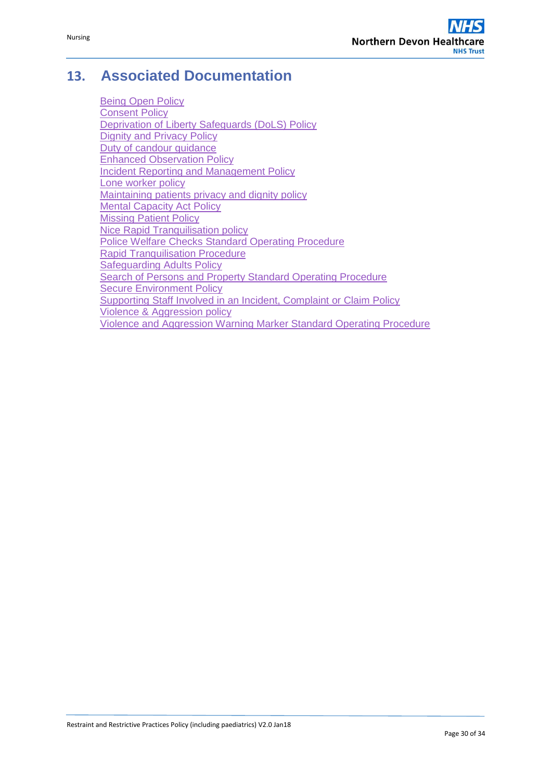# <span id="page-29-0"></span>**13. Associated Documentation**

[Being Open Policy](http://ndht.ndevon.swest.nhs.uk/policies/wp-content/uploads/2013/06/Being-Open-Duty-of-Candour-V5.0-24Mar15.pdf) [Consent Policy](http://www.northdevonhealth.nhs.uk/new/wp-content/uploads/2012/04/Consent-Policy-v3.3-28Aug14.pdf) [Deprivation of Liberty Safeguards \(DoLS\) Policy](http://ndht.ndevon.swest.nhs.uk/deprivation-of-liberty-safeguards-dols-policy/) [Dignity and Privacy Policy](http://ndht.ndevon.swest.nhs.uk/dignity-privacy-policy/) Duty of candour quidance [Enhanced Observation Policy](http://ndht.ndevon.swest.nhs.uk/policies/wp-content/uploads/2013/03/Observation-of-Patients-Policy-v1-5-13Nov13-.pdf) [Incident Reporting and Management Policy](http://ndht.ndevon.swest.nhs.uk/incident-reporting-and-management-policy/) [Lone worker policy](http://www.northdevonhealth.nhs.uk/new/wp-content/uploads/2015/08/Lone-Working-Policy-V2.1-07Aug15-Web-Version.pdf) [Maintaining patients privacy and dignity policy](http://ndht.ndevon.swest.nhs.uk/policies/wp-content/uploads/2014/01/Dignity-Privacy-Policy-v2.1-10Oct13.pdf) [Mental Capacity Act Policy](http://ndht.ndevon.swest.nhs.uk/mental-capacity-act-policy/) [Missing Patient Policy](http://ndht.ndevon.swest.nhs.uk/missing-patient-policy/) [Nice Rapid Tranquilisation policy](http://ndht.ndevon.swest.nhs.uk/policies/wp-content/uploads/2013/11/Rapid-tranquilisation-procedure-v1-1-01Nov13-FINAL.pdf) [Police Welfare Checks Standard Operating Procedure](http://ndht.ndevon.swest.nhs.uk/police-welfare-checks-standard-operating-procedure/) [Rapid Tranquilisation Procedure](http://ndht.ndevon.swest.nhs.uk/?s=TRANQUILISATION&cats=1188) [Safeguarding Adults Policy](http://ndht.ndevon.swest.nhs.uk/policies/wp-content/uploads/2012/03/Safeguarding-Adults-Policy-v4.2-23May12.pdf) [Search of Persons and Property Standard Operating Procedure](http://ndht.ndevon.swest.nhs.uk/?s=SEARCH&cats=1188) [Secure Environment Policy](http://ndht.ndevon.swest.nhs.uk/policies/wp-content/uploads/2014/04/Secure-Environment-Policy-v2.1-07Apr14.pdf) [Supporting Staff Involved in an Incident, Complaint or Claim Policy](http://ndht.ndevon.swest.nhs.uk/supporting-staff-involved-in-an-incident-complaint-or-claim/) [Violence & Aggression policy](http://www.northdevonhealth.nhs.uk/new/wp-content/uploads/2015/09/Violence-Aggresion-Policy-V3.0-15Sep15-Web-Version.pdf) [Violence and Aggression Warning Marker Standard Operating Procedure](http://ndht.ndevon.swest.nhs.uk/violence-and-aggression-warning-marker-standard-operating-procedure/)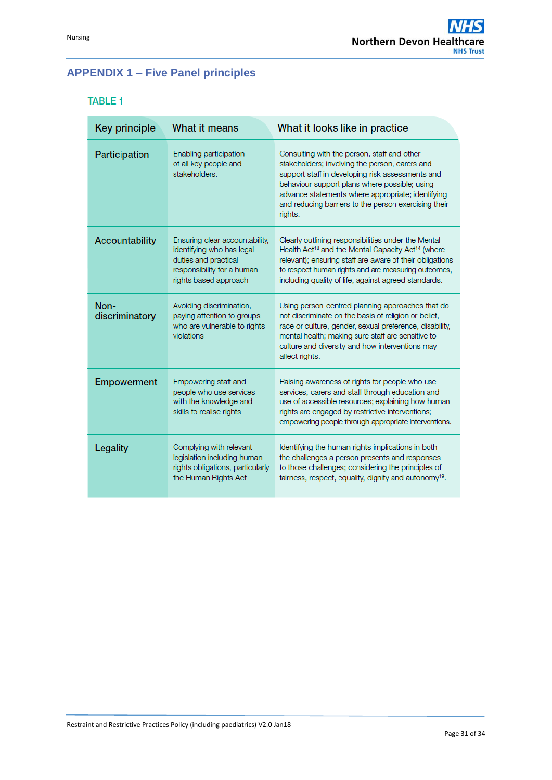# <span id="page-30-0"></span>**APPENDIX 1 – Five Panel principles**

## **TABLE 1**

| <b>Key principle</b>   | What it means                                                                                                                              | What it looks like in practice                                                                                                                                                                                                                                                                                             |
|------------------------|--------------------------------------------------------------------------------------------------------------------------------------------|----------------------------------------------------------------------------------------------------------------------------------------------------------------------------------------------------------------------------------------------------------------------------------------------------------------------------|
| Participation          | Enabling participation<br>of all key people and<br>stakeholders.                                                                           | Consulting with the person, staff and other<br>stakeholders; involving the person, carers and<br>support staff in developing risk assessments and<br>behaviour support plans where possible; using<br>advance statements where appropriate; identifying<br>and reducing barriers to the person exercising their<br>rights. |
| Accountability         | Ensuring clear accountability,<br>identifying who has legal<br>duties and practical<br>responsibility for a human<br>rights based approach | Clearly outlining responsibilities under the Mental<br>Health Act <sup>18</sup> and the Mental Capacity Act <sup>14</sup> (where<br>relevant); ensuring staff are aware of their obligations<br>to respect human rights and are measuring outcomes,<br>including quality of life, against agreed standards.                |
| Non-<br>discriminatory | Avoiding discrimination,<br>paying attention to groups<br>who are vulnerable to rights<br>violations                                       | Using person-centred planning approaches that do<br>not discriminate on the basis of religion or belief,<br>race or culture, gender, sexual preference, disability,<br>mental health; making sure staff are sensitive to<br>culture and diversity and how interventions may<br>affect rights.                              |
| <b>Empowerment</b>     | Empowering staff and<br>people who use services<br>with the knowledge and<br>skills to realise rights                                      | Raising awareness of rights for people who use<br>services, carers and staff through education and<br>use of accessible resources; explaining how human<br>rights are engaged by restrictive interventions;<br>empowering people through appropriate interventions.                                                        |
| Legality               | Complying with relevant<br>legislation including human<br>rights obligations, particularly<br>the Human Rights Act                         | Identifying the human rights implications in both<br>the challenges a person presents and responses<br>to those challenges; considering the principles of<br>fairness, respect, equality, dignity and autonomy <sup>19</sup> .                                                                                             |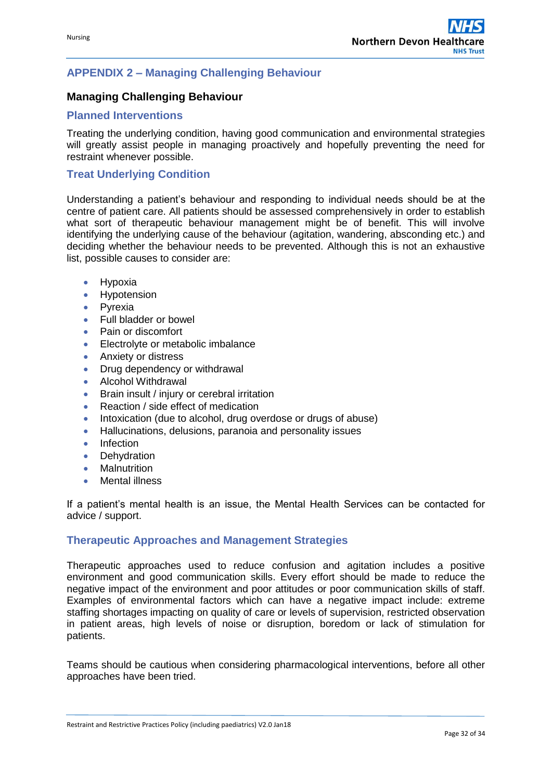## <span id="page-31-0"></span>**APPENDIX 2 – Managing Challenging Behaviour**

## **Managing Challenging Behaviour**

#### **Planned Interventions**

Treating the underlying condition, having good communication and environmental strategies will greatly assist people in managing proactively and hopefully preventing the need for restraint whenever possible.

## **Treat Underlying Condition**

Understanding a patient's behaviour and responding to individual needs should be at the centre of patient care. All patients should be assessed comprehensively in order to establish what sort of therapeutic behaviour management might be of benefit. This will involve identifying the underlying cause of the behaviour (agitation, wandering, absconding etc.) and deciding whether the behaviour needs to be prevented. Although this is not an exhaustive list, possible causes to consider are:

- **•** Hypoxia
- Hypotension
- Pyrexia
- Full bladder or bowel
- Pain or discomfort
- Electrolyte or metabolic imbalance
- **Anxiety or distress**
- Drug dependency or withdrawal
- Alcohol Withdrawal
- **•** Brain insult / injury or cerebral irritation
- Reaction / side effect of medication
- Intoxication (due to alcohol, drug overdose or drugs of abuse)
- Hallucinations, delusions, paranoia and personality issues
- Infection
- Dehydration
- Malnutrition
- Mental illness

If a patient's mental health is an issue, the Mental Health Services can be contacted for advice / support.

#### **Therapeutic Approaches and Management Strategies**

Therapeutic approaches used to reduce confusion and agitation includes a positive environment and good communication skills. Every effort should be made to reduce the negative impact of the environment and poor attitudes or poor communication skills of staff. Examples of environmental factors which can have a negative impact include: extreme staffing shortages impacting on quality of care or levels of supervision, restricted observation in patient areas, high levels of noise or disruption, boredom or lack of stimulation for patients.

Teams should be cautious when considering pharmacological interventions, before all other approaches have been tried.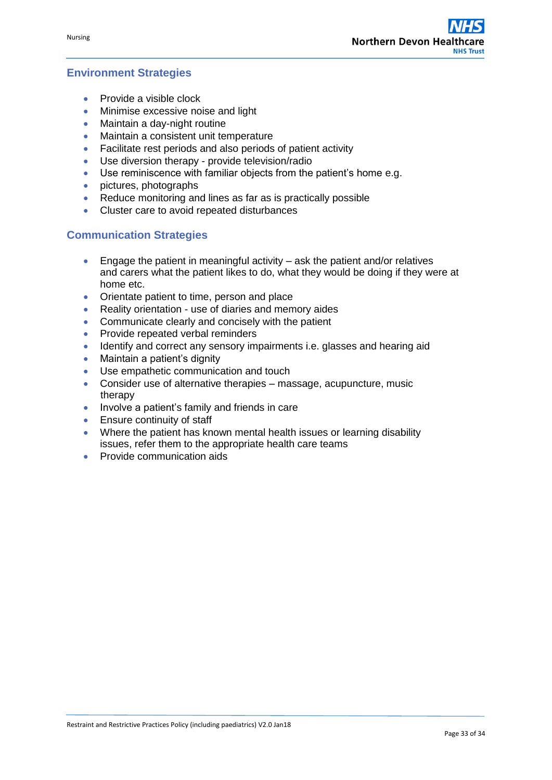## **Environment Strategies**

- Provide a visible clock
- Minimise excessive noise and light
- Maintain a day-night routine
- Maintain a consistent unit temperature
- Facilitate rest periods and also periods of patient activity
- Use diversion therapy provide television/radio
- Use reminiscence with familiar objects from the patient's home e.g.
- pictures, photographs
- Reduce monitoring and lines as far as is practically possible
- Cluster care to avoid repeated disturbances

## **Communication Strategies**

- Engage the patient in meaningful activity ask the patient and/or relatives and carers what the patient likes to do, what they would be doing if they were at home etc.
- Orientate patient to time, person and place
- Reality orientation use of diaries and memory aides
- Communicate clearly and concisely with the patient
- Provide repeated verbal reminders
- Identify and correct any sensory impairments i.e. glasses and hearing aid
- Maintain a patient's dignity
- Use empathetic communication and touch
- Consider use of alternative therapies massage, acupuncture, music therapy
- Involve a patient's family and friends in care
- **Ensure continuity of staff**
- Where the patient has known mental health issues or learning disability issues, refer them to the appropriate health care teams
- **•** Provide communication aids